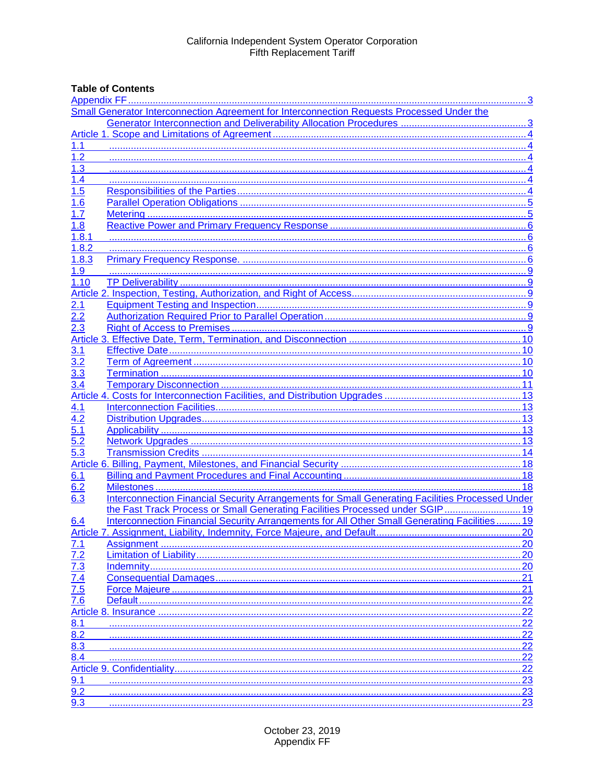# **Table of Contents**

| Small Generator Interconnection Agreement for Interconnection Requests Processed Under the |                                                                                                 |      |  |  |
|--------------------------------------------------------------------------------------------|-------------------------------------------------------------------------------------------------|------|--|--|
|                                                                                            |                                                                                                 |      |  |  |
|                                                                                            |                                                                                                 |      |  |  |
| 1.1                                                                                        |                                                                                                 |      |  |  |
| 1.2                                                                                        |                                                                                                 |      |  |  |
| 1.3                                                                                        |                                                                                                 |      |  |  |
| 1.4                                                                                        |                                                                                                 |      |  |  |
| 1.5                                                                                        |                                                                                                 |      |  |  |
| <u>1.6</u>                                                                                 |                                                                                                 |      |  |  |
| 1.7                                                                                        |                                                                                                 |      |  |  |
| 1.8                                                                                        |                                                                                                 |      |  |  |
| 1.8.1                                                                                      |                                                                                                 |      |  |  |
| 1.8.2                                                                                      |                                                                                                 |      |  |  |
| 1.8.3                                                                                      |                                                                                                 |      |  |  |
| 1.9                                                                                        |                                                                                                 |      |  |  |
| 1.10                                                                                       |                                                                                                 |      |  |  |
|                                                                                            |                                                                                                 |      |  |  |
| 2.1                                                                                        |                                                                                                 |      |  |  |
| $2.\overline{2}$                                                                           |                                                                                                 |      |  |  |
| 2.3                                                                                        |                                                                                                 |      |  |  |
|                                                                                            |                                                                                                 |      |  |  |
| 3.1                                                                                        |                                                                                                 |      |  |  |
| 3.2                                                                                        |                                                                                                 |      |  |  |
| 3.3                                                                                        |                                                                                                 |      |  |  |
| $\overline{3.4}$                                                                           |                                                                                                 |      |  |  |
|                                                                                            |                                                                                                 |      |  |  |
| 4.1                                                                                        |                                                                                                 |      |  |  |
| 4.2                                                                                        |                                                                                                 |      |  |  |
| 5.1                                                                                        |                                                                                                 |      |  |  |
| 5.2                                                                                        |                                                                                                 |      |  |  |
| 5.3                                                                                        |                                                                                                 |      |  |  |
|                                                                                            |                                                                                                 |      |  |  |
| 6.1                                                                                        |                                                                                                 |      |  |  |
| 6.2                                                                                        |                                                                                                 | . 18 |  |  |
| 6.3                                                                                        | Interconnection Financial Security Arrangements for Small Generating Facilities Processed Under |      |  |  |
|                                                                                            | the Fast Track Process or Small Generating Facilities Processed under SGIP 19                   |      |  |  |
| 6.4                                                                                        | Interconnection Financial Security Arrangements for All Other Small Generating Facilities 19    |      |  |  |
|                                                                                            |                                                                                                 |      |  |  |
|                                                                                            |                                                                                                 | 20   |  |  |
|                                                                                            |                                                                                                 | .20  |  |  |
| $\frac{7.1}{7.2}$ $\frac{7.3}{7.4}$ $\frac{7.4}{7.5}$ $\frac{7.5}{7.6}$                    |                                                                                                 |      |  |  |
|                                                                                            |                                                                                                 | .21  |  |  |
|                                                                                            |                                                                                                 | 21   |  |  |
|                                                                                            |                                                                                                 | .22  |  |  |
|                                                                                            |                                                                                                 | 22   |  |  |
| 8.1                                                                                        |                                                                                                 | 22   |  |  |
| 8.2                                                                                        |                                                                                                 | 22   |  |  |
| 8.3                                                                                        |                                                                                                 | 22   |  |  |
| 8.4                                                                                        |                                                                                                 | 22   |  |  |
|                                                                                            |                                                                                                 | .22  |  |  |
| 9.1                                                                                        |                                                                                                 | .23  |  |  |
| 9.2                                                                                        |                                                                                                 | .23  |  |  |
| 9.3                                                                                        |                                                                                                 | 23   |  |  |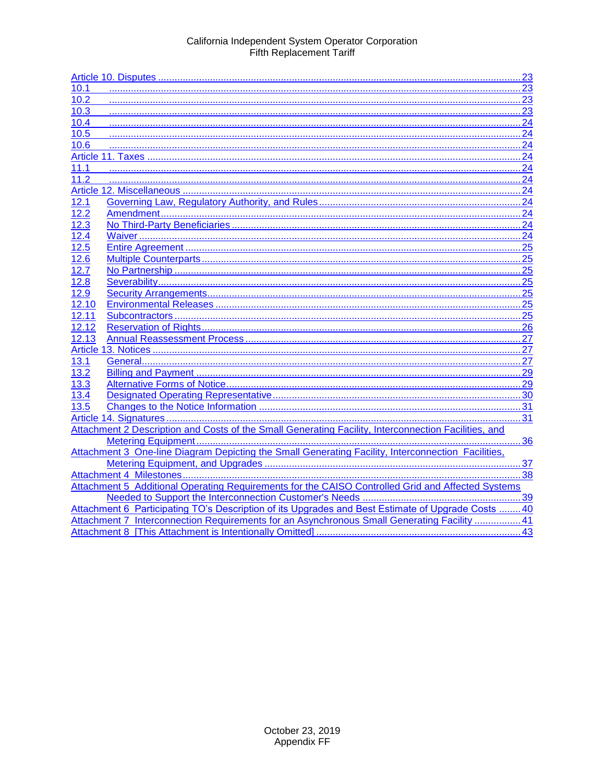| 10.1                                                                                               |     |  |
|----------------------------------------------------------------------------------------------------|-----|--|
| 10.2                                                                                               |     |  |
| 10.3                                                                                               |     |  |
| 10.4                                                                                               | .24 |  |
| 10.5                                                                                               | 24  |  |
| 10.6                                                                                               |     |  |
| 24                                                                                                 |     |  |
| 11.1                                                                                               |     |  |
| 11.2                                                                                               |     |  |
|                                                                                                    |     |  |
| 12.1                                                                                               |     |  |
| 12.2                                                                                               |     |  |
| 12.3                                                                                               |     |  |
| 12.4                                                                                               |     |  |
| 12.5                                                                                               |     |  |
| 12.6                                                                                               |     |  |
| 12.7                                                                                               |     |  |
| 12.8                                                                                               |     |  |
| 12.9                                                                                               |     |  |
| 12.10                                                                                              |     |  |
| 12.11                                                                                              |     |  |
| 12.12                                                                                              |     |  |
| 12.13                                                                                              |     |  |
|                                                                                                    |     |  |
| 13.1                                                                                               |     |  |
| 13.2                                                                                               |     |  |
| 13.3                                                                                               |     |  |
| 13.4                                                                                               |     |  |
| 13.5                                                                                               |     |  |
|                                                                                                    |     |  |
|                                                                                                    |     |  |
| 36                                                                                                 |     |  |
| Attachment 3 One-line Diagram Depicting the Small Generating Facility, Interconnection Facilities, |     |  |
|                                                                                                    |     |  |
|                                                                                                    |     |  |
| Attachment 5 Additional Operating Requirements for the CAISO Controlled Grid and Affected Systems  |     |  |
|                                                                                                    |     |  |
| Attachment 6 Participating TO's Description of its Upgrades and Best Estimate of Upgrade Costs 40  |     |  |
| Attachment 7 Interconnection Requirements for an Asynchronous Small Generating Facility 41         |     |  |
|                                                                                                    |     |  |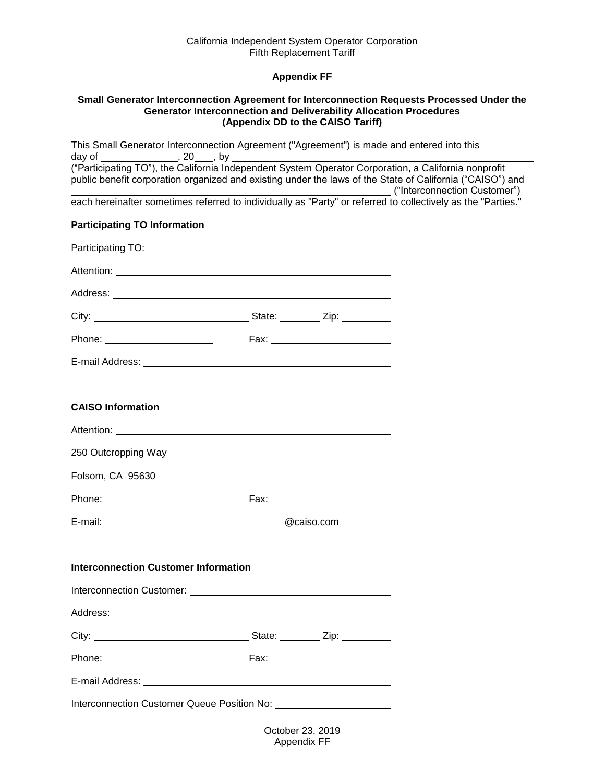# **Appendix FF**

#### <span id="page-2-1"></span><span id="page-2-0"></span>**Small Generator Interconnection Agreement for Interconnection Requests Processed Under the Generator Interconnection and Deliverability Allocation Procedures (Appendix DD to the CAISO Tariff)**

| day of<br>$\overline{\phantom{a}}$ , 20 $\overline{\phantom{a}}$ , by                                        |  | This Small Generator Interconnection Agreement ("Agreement") is made and entered into this ________         |
|--------------------------------------------------------------------------------------------------------------|--|-------------------------------------------------------------------------------------------------------------|
|                                                                                                              |  | public benefit corporation organized and existing under the laws of the State of California ("CAISO") and _ |
| each hereinafter sometimes referred to individually as "Party" or referred to collectively as the "Parties." |  |                                                                                                             |
| <b>Participating TO Information</b>                                                                          |  |                                                                                                             |
|                                                                                                              |  |                                                                                                             |
|                                                                                                              |  |                                                                                                             |
|                                                                                                              |  |                                                                                                             |
|                                                                                                              |  |                                                                                                             |
|                                                                                                              |  |                                                                                                             |
|                                                                                                              |  |                                                                                                             |
|                                                                                                              |  |                                                                                                             |
| <b>CAISO Information</b>                                                                                     |  |                                                                                                             |
| Attention: <u>Attention</u>                                                                                  |  |                                                                                                             |
| 250 Outcropping Way                                                                                          |  |                                                                                                             |
| Folsom, CA 95630                                                                                             |  |                                                                                                             |
| Phone: _______________________                                                                               |  |                                                                                                             |
|                                                                                                              |  |                                                                                                             |
|                                                                                                              |  |                                                                                                             |
| <b>Interconnection Customer Information</b>                                                                  |  |                                                                                                             |
|                                                                                                              |  |                                                                                                             |
|                                                                                                              |  |                                                                                                             |
|                                                                                                              |  |                                                                                                             |
| Phone: _______________________                                                                               |  |                                                                                                             |
|                                                                                                              |  |                                                                                                             |
|                                                                                                              |  |                                                                                                             |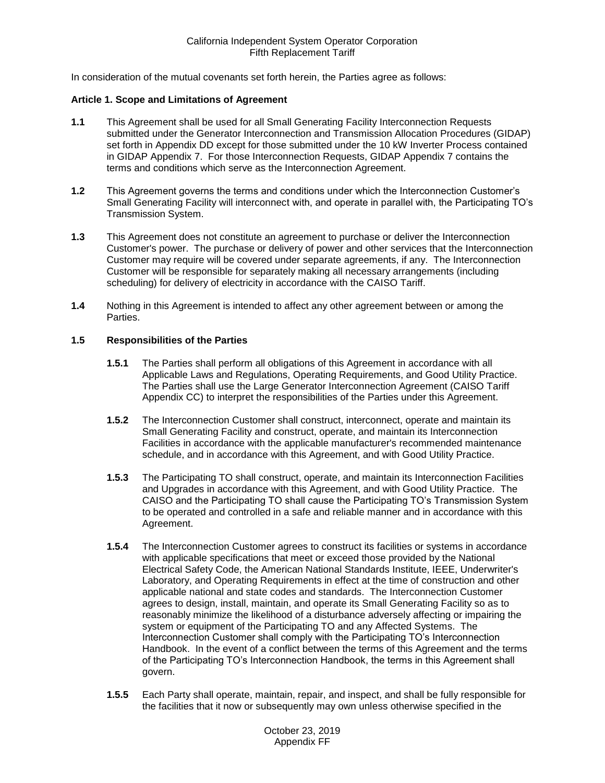In consideration of the mutual covenants set forth herein, the Parties agree as follows:

#### <span id="page-3-0"></span>**Article 1. Scope and Limitations of Agreement**

- <span id="page-3-1"></span>**1.1** This Agreement shall be used for all Small Generating Facility Interconnection Requests submitted under the Generator Interconnection and Transmission Allocation Procedures (GIDAP) set forth in Appendix DD except for those submitted under the 10 kW Inverter Process contained in GIDAP Appendix 7. For those Interconnection Requests, GIDAP Appendix 7 contains the terms and conditions which serve as the Interconnection Agreement.
- <span id="page-3-2"></span>**1.2** This Agreement governs the terms and conditions under which the Interconnection Customer's Small Generating Facility will interconnect with, and operate in parallel with, the Participating TO's Transmission System.
- <span id="page-3-3"></span>**1.3** This Agreement does not constitute an agreement to purchase or deliver the Interconnection Customer's power. The purchase or delivery of power and other services that the Interconnection Customer may require will be covered under separate agreements, if any. The Interconnection Customer will be responsible for separately making all necessary arrangements (including scheduling) for delivery of electricity in accordance with the CAISO Tariff.
- <span id="page-3-4"></span>**1.4** Nothing in this Agreement is intended to affect any other agreement between or among the Parties.

# <span id="page-3-5"></span>**1.5 Responsibilities of the Parties**

- **1.5.1** The Parties shall perform all obligations of this Agreement in accordance with all Applicable Laws and Regulations, Operating Requirements, and Good Utility Practice. The Parties shall use the Large Generator Interconnection Agreement (CAISO Tariff Appendix CC) to interpret the responsibilities of the Parties under this Agreement.
- **1.5.2** The Interconnection Customer shall construct, interconnect, operate and maintain its Small Generating Facility and construct, operate, and maintain its Interconnection Facilities in accordance with the applicable manufacturer's recommended maintenance schedule, and in accordance with this Agreement, and with Good Utility Practice.
- **1.5.3** The Participating TO shall construct, operate, and maintain its Interconnection Facilities and Upgrades in accordance with this Agreement, and with Good Utility Practice. The CAISO and the Participating TO shall cause the Participating TO's Transmission System to be operated and controlled in a safe and reliable manner and in accordance with this Agreement.
- **1.5.4** The Interconnection Customer agrees to construct its facilities or systems in accordance with applicable specifications that meet or exceed those provided by the National Electrical Safety Code, the American National Standards Institute, IEEE, Underwriter's Laboratory, and Operating Requirements in effect at the time of construction and other applicable national and state codes and standards. The Interconnection Customer agrees to design, install, maintain, and operate its Small Generating Facility so as to reasonably minimize the likelihood of a disturbance adversely affecting or impairing the system or equipment of the Participating TO and any Affected Systems. The Interconnection Customer shall comply with the Participating TO's Interconnection Handbook. In the event of a conflict between the terms of this Agreement and the terms of the Participating TO's Interconnection Handbook, the terms in this Agreement shall govern.
- **1.5.5** Each Party shall operate, maintain, repair, and inspect, and shall be fully responsible for the facilities that it now or subsequently may own unless otherwise specified in the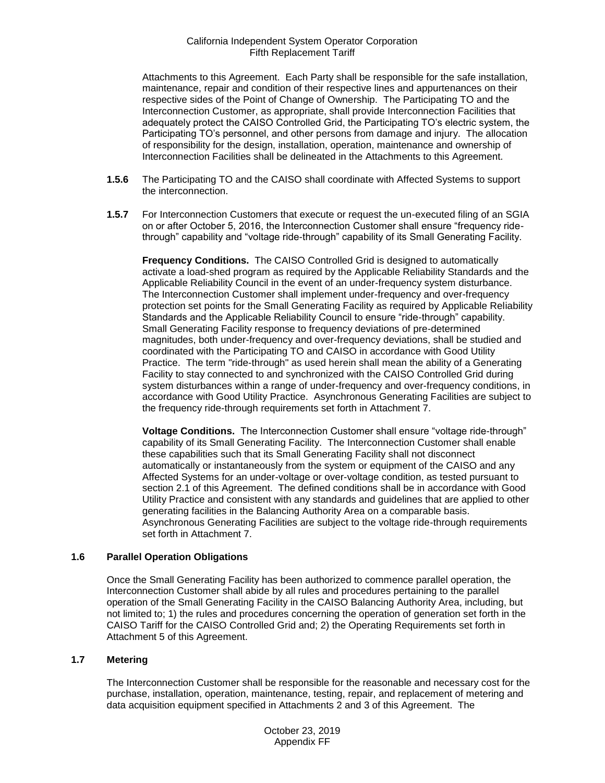Attachments to this Agreement. Each Party shall be responsible for the safe installation, maintenance, repair and condition of their respective lines and appurtenances on their respective sides of the Point of Change of Ownership. The Participating TO and the Interconnection Customer, as appropriate, shall provide Interconnection Facilities that adequately protect the CAISO Controlled Grid, the Participating TO's electric system, the Participating TO's personnel, and other persons from damage and injury. The allocation of responsibility for the design, installation, operation, maintenance and ownership of Interconnection Facilities shall be delineated in the Attachments to this Agreement.

- **1.5.6** The Participating TO and the CAISO shall coordinate with Affected Systems to support the interconnection.
- **1.5.7** For Interconnection Customers that execute or request the un-executed filing of an SGIA on or after October 5, 2016, the Interconnection Customer shall ensure "frequency ridethrough" capability and "voltage ride-through" capability of its Small Generating Facility.

**Frequency Conditions.** The CAISO Controlled Grid is designed to automatically activate a load-shed program as required by the Applicable Reliability Standards and the Applicable Reliability Council in the event of an under-frequency system disturbance. The Interconnection Customer shall implement under-frequency and over-frequency protection set points for the Small Generating Facility as required by Applicable Reliability Standards and the Applicable Reliability Council to ensure "ride-through" capability. Small Generating Facility response to frequency deviations of pre-determined magnitudes, both under-frequency and over-frequency deviations, shall be studied and coordinated with the Participating TO and CAISO in accordance with Good Utility Practice. The term "ride-through" as used herein shall mean the ability of a Generating Facility to stay connected to and synchronized with the CAISO Controlled Grid during system disturbances within a range of under-frequency and over-frequency conditions, in accordance with Good Utility Practice. Asynchronous Generating Facilities are subject to the frequency ride-through requirements set forth in Attachment 7.

**Voltage Conditions.** The Interconnection Customer shall ensure "voltage ride-through" capability of its Small Generating Facility. The Interconnection Customer shall enable these capabilities such that its Small Generating Facility shall not disconnect automatically or instantaneously from the system or equipment of the CAISO and any Affected Systems for an under-voltage or over-voltage condition, as tested pursuant to section 2.1 of this Agreement. The defined conditions shall be in accordance with Good Utility Practice and consistent with any standards and guidelines that are applied to other generating facilities in the Balancing Authority Area on a comparable basis. Asynchronous Generating Facilities are subject to the voltage ride-through requirements set forth in Attachment 7.

#### <span id="page-4-0"></span>**1.6 Parallel Operation Obligations**

Once the Small Generating Facility has been authorized to commence parallel operation, the Interconnection Customer shall abide by all rules and procedures pertaining to the parallel operation of the Small Generating Facility in the CAISO Balancing Authority Area, including, but not limited to; 1) the rules and procedures concerning the operation of generation set forth in the CAISO Tariff for the CAISO Controlled Grid and; 2) the Operating Requirements set forth in Attachment 5 of this Agreement.

# <span id="page-4-1"></span>**1.7 Metering**

The Interconnection Customer shall be responsible for the reasonable and necessary cost for the purchase, installation, operation, maintenance, testing, repair, and replacement of metering and data acquisition equipment specified in Attachments 2 and 3 of this Agreement. The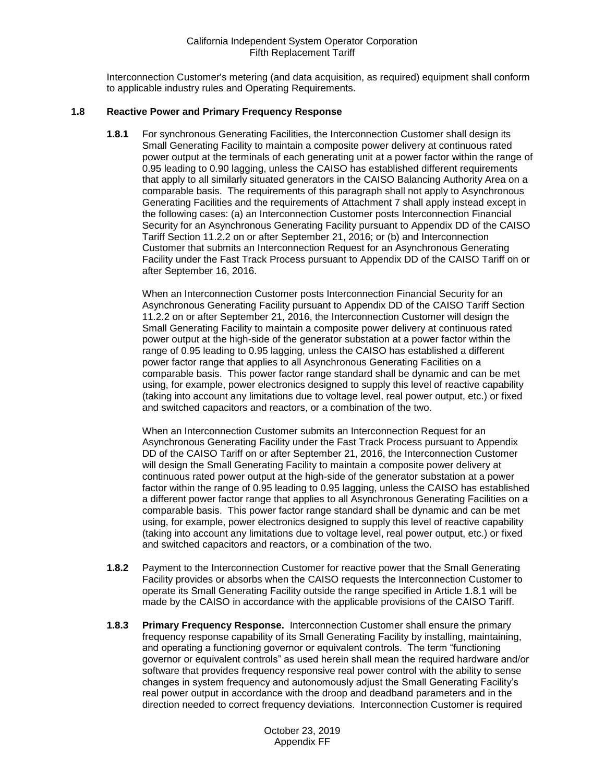Interconnection Customer's metering (and data acquisition, as required) equipment shall conform to applicable industry rules and Operating Requirements.

# <span id="page-5-1"></span><span id="page-5-0"></span>**1.8 Reactive Power and Primary Frequency Response**

**1.8.1** For synchronous Generating Facilities, the Interconnection Customer shall design its Small Generating Facility to maintain a composite power delivery at continuous rated power output at the terminals of each generating unit at a power factor within the range of 0.95 leading to 0.90 lagging, unless the CAISO has established different requirements that apply to all similarly situated generators in the CAISO Balancing Authority Area on a comparable basis. The requirements of this paragraph shall not apply to Asynchronous Generating Facilities and the requirements of Attachment 7 shall apply instead except in the following cases: (a) an Interconnection Customer posts Interconnection Financial Security for an Asynchronous Generating Facility pursuant to Appendix DD of the CAISO Tariff Section 11.2.2 on or after September 21, 2016; or (b) and Interconnection Customer that submits an Interconnection Request for an Asynchronous Generating Facility under the Fast Track Process pursuant to Appendix DD of the CAISO Tariff on or after September 16, 2016.

When an Interconnection Customer posts Interconnection Financial Security for an Asynchronous Generating Facility pursuant to Appendix DD of the CAISO Tariff Section 11.2.2 on or after September 21, 2016, the Interconnection Customer will design the Small Generating Facility to maintain a composite power delivery at continuous rated power output at the high-side of the generator substation at a power factor within the range of 0.95 leading to 0.95 lagging, unless the CAISO has established a different power factor range that applies to all Asynchronous Generating Facilities on a comparable basis. This power factor range standard shall be dynamic and can be met using, for example, power electronics designed to supply this level of reactive capability (taking into account any limitations due to voltage level, real power output, etc.) or fixed and switched capacitors and reactors, or a combination of the two.

When an Interconnection Customer submits an Interconnection Request for an Asynchronous Generating Facility under the Fast Track Process pursuant to Appendix DD of the CAISO Tariff on or after September 21, 2016, the Interconnection Customer will design the Small Generating Facility to maintain a composite power delivery at continuous rated power output at the high-side of the generator substation at a power factor within the range of 0.95 leading to 0.95 lagging, unless the CAISO has established a different power factor range that applies to all Asynchronous Generating Facilities on a comparable basis. This power factor range standard shall be dynamic and can be met using, for example, power electronics designed to supply this level of reactive capability (taking into account any limitations due to voltage level, real power output, etc.) or fixed and switched capacitors and reactors, or a combination of the two.

- <span id="page-5-2"></span>**1.8.2** Payment to the Interconnection Customer for reactive power that the Small Generating Facility provides or absorbs when the CAISO requests the Interconnection Customer to operate its Small Generating Facility outside the range specified in Article 1.8.1 will be made by the CAISO in accordance with the applicable provisions of the CAISO Tariff.
- <span id="page-5-3"></span>**1.8.3 Primary Frequency Response.** Interconnection Customer shall ensure the primary frequency response capability of its Small Generating Facility by installing, maintaining, and operating a functioning governor or equivalent controls. The term "functioning governor or equivalent controls" as used herein shall mean the required hardware and/or software that provides frequency responsive real power control with the ability to sense changes in system frequency and autonomously adjust the Small Generating Facility's real power output in accordance with the droop and deadband parameters and in the direction needed to correct frequency deviations. Interconnection Customer is required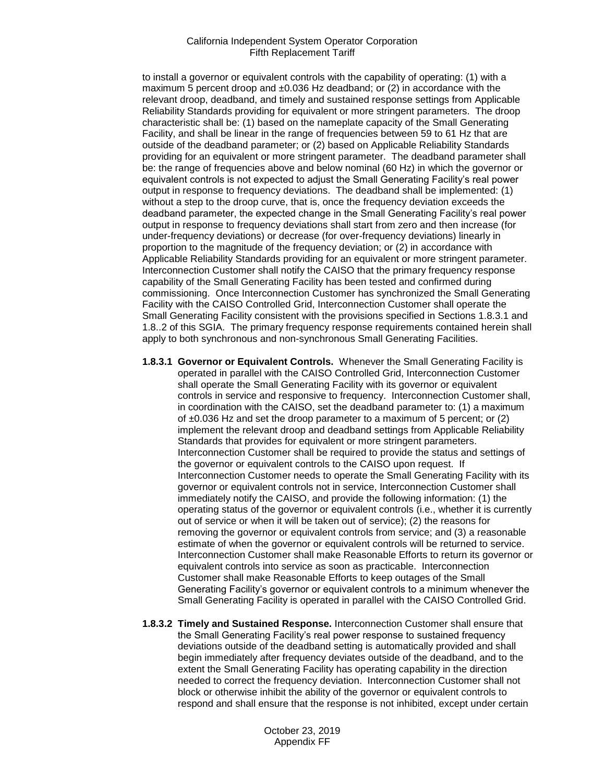to install a governor or equivalent controls with the capability of operating: (1) with a maximum 5 percent droop and  $\pm 0.036$  Hz deadband; or (2) in accordance with the relevant droop, deadband, and timely and sustained response settings from Applicable Reliability Standards providing for equivalent or more stringent parameters. The droop characteristic shall be: (1) based on the nameplate capacity of the Small Generating Facility, and shall be linear in the range of frequencies between 59 to 61 Hz that are outside of the deadband parameter; or (2) based on Applicable Reliability Standards providing for an equivalent or more stringent parameter. The deadband parameter shall be: the range of frequencies above and below nominal (60 Hz) in which the governor or equivalent controls is not expected to adjust the Small Generating Facility's real power output in response to frequency deviations. The deadband shall be implemented: (1) without a step to the droop curve, that is, once the frequency deviation exceeds the deadband parameter, the expected change in the Small Generating Facility's real power output in response to frequency deviations shall start from zero and then increase (for under-frequency deviations) or decrease (for over-frequency deviations) linearly in proportion to the magnitude of the frequency deviation; or (2) in accordance with Applicable Reliability Standards providing for an equivalent or more stringent parameter. Interconnection Customer shall notify the CAISO that the primary frequency response capability of the Small Generating Facility has been tested and confirmed during commissioning. Once Interconnection Customer has synchronized the Small Generating Facility with the CAISO Controlled Grid, Interconnection Customer shall operate the Small Generating Facility consistent with the provisions specified in Sections 1.8.3.1 and 1.8..2 of this SGIA. The primary frequency response requirements contained herein shall apply to both synchronous and non-synchronous Small Generating Facilities.

- **1.8.3.1 Governor or Equivalent Controls.** Whenever the Small Generating Facility is operated in parallel with the CAISO Controlled Grid, Interconnection Customer shall operate the Small Generating Facility with its governor or equivalent controls in service and responsive to frequency. Interconnection Customer shall, in coordination with the CAISO, set the deadband parameter to: (1) a maximum of  $\pm 0.036$  Hz and set the droop parameter to a maximum of 5 percent; or (2) implement the relevant droop and deadband settings from Applicable Reliability Standards that provides for equivalent or more stringent parameters. Interconnection Customer shall be required to provide the status and settings of the governor or equivalent controls to the CAISO upon request. If Interconnection Customer needs to operate the Small Generating Facility with its governor or equivalent controls not in service, Interconnection Customer shall immediately notify the CAISO, and provide the following information: (1) the operating status of the governor or equivalent controls (i.e., whether it is currently out of service or when it will be taken out of service); (2) the reasons for removing the governor or equivalent controls from service; and (3) a reasonable estimate of when the governor or equivalent controls will be returned to service. Interconnection Customer shall make Reasonable Efforts to return its governor or equivalent controls into service as soon as practicable. Interconnection Customer shall make Reasonable Efforts to keep outages of the Small Generating Facility's governor or equivalent controls to a minimum whenever the Small Generating Facility is operated in parallel with the CAISO Controlled Grid.
- **1.8.3.2 Timely and Sustained Response.** Interconnection Customer shall ensure that the Small Generating Facility's real power response to sustained frequency deviations outside of the deadband setting is automatically provided and shall begin immediately after frequency deviates outside of the deadband, and to the extent the Small Generating Facility has operating capability in the direction needed to correct the frequency deviation. Interconnection Customer shall not block or otherwise inhibit the ability of the governor or equivalent controls to respond and shall ensure that the response is not inhibited, except under certain

October 23, 2019 Appendix FF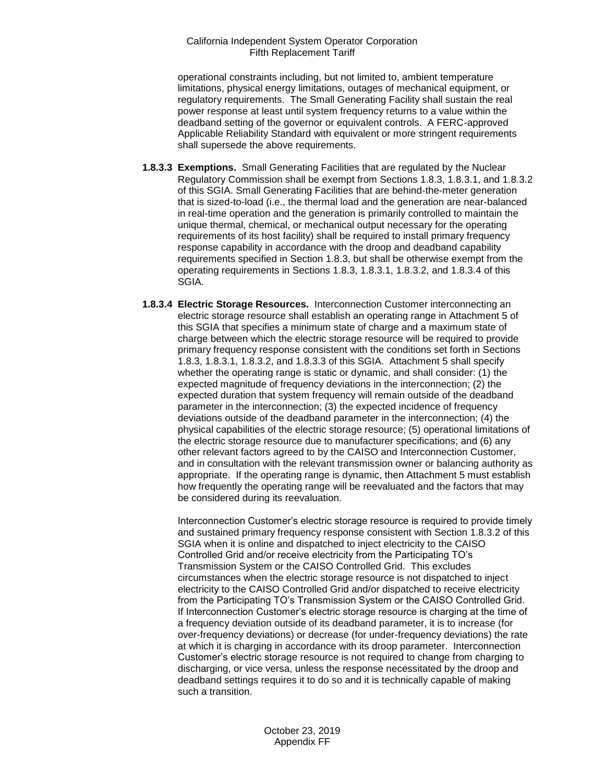operational constraints including, but not limited to, ambient temperature limitations, physical energy limitations, outages of mechanical equipment, or regulatory requirements. The Small Generating Facility shall sustain the real power response at least until system frequency returns to a value within the deadband setting of the governor or equivalent controls. A FERC-approved Applicable Reliability Standard with equivalent or more stringent requirements shall supersede the above requirements.

- **1.8.3.3 Exemptions.** Small Generating Facilities that are regulated by the Nuclear Regulatory Commission shall be exempt from Sections 1.8.3, 1.8.3.1, and 1.8.3.2 of this SGIA. Small Generating Facilities that are behind-the-meter generation that is sized-to-load (i.e., the thermal load and the generation are near-balanced in real-time operation and the generation is primarily controlled to maintain the unique thermal, chemical, or mechanical output necessary for the operating requirements of its host facility) shall be required to install primary frequency response capability in accordance with the droop and deadband capability requirements specified in Section 1.8.3, but shall be otherwise exempt from the operating requirements in Sections 1.8.3, 1.8.3.1, 1.8.3.2, and 1.8.3.4 of this SGIA.
- **1.8.3.4 Electric Storage Resources.** Interconnection Customer interconnecting an electric storage resource shall establish an operating range in Attachment 5 of this SGIA that specifies a minimum state of charge and a maximum state of charge between which the electric storage resource will be required to provide primary frequency response consistent with the conditions set forth in Sections 1.8.3, 1.8.3.1, 1.8.3.2, and 1.8.3.3 of this SGIA. Attachment 5 shall specify whether the operating range is static or dynamic, and shall consider: (1) the expected magnitude of frequency deviations in the interconnection; (2) the expected duration that system frequency will remain outside of the deadband parameter in the interconnection; (3) the expected incidence of frequency deviations outside of the deadband parameter in the interconnection; (4) the physical capabilities of the electric storage resource; (5) operational limitations of the electric storage resource due to manufacturer specifications; and (6) any other relevant factors agreed to by the CAISO and Interconnection Customer, and in consultation with the relevant transmission owner or balancing authority as appropriate. If the operating range is dynamic, then Attachment 5 must establish how frequently the operating range will be reevaluated and the factors that may be considered during its reevaluation.

Interconnection Customer's electric storage resource is required to provide timely and sustained primary frequency response consistent with Section 1.8.3.2 of this SGIA when it is online and dispatched to inject electricity to the CAISO Controlled Grid and/or receive electricity from the Participating TO's Transmission System or the CAISO Controlled Grid. This excludes circumstances when the electric storage resource is not dispatched to inject electricity to the CAISO Controlled Grid and/or dispatched to receive electricity from the Participating TO's Transmission System or the CAISO Controlled Grid. If Interconnection Customer's electric storage resource is charging at the time of a frequency deviation outside of its deadband parameter, it is to increase (for over-frequency deviations) or decrease (for under-frequency deviations) the rate at which it is charging in accordance with its droop parameter. Interconnection Customer's electric storage resource is not required to change from charging to discharging, or vice versa, unless the response necessitated by the droop and deadband settings requires it to do so and it is technically capable of making such a transition.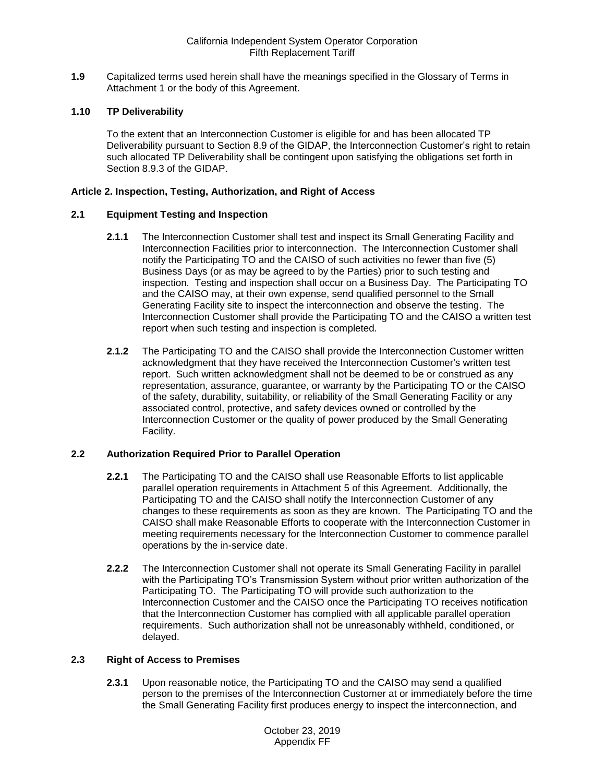<span id="page-8-0"></span>**1.9** Capitalized terms used herein shall have the meanings specified in the Glossary of Terms in Attachment 1 or the body of this Agreement.

### <span id="page-8-1"></span>**1.10 TP Deliverability**

To the extent that an Interconnection Customer is eligible for and has been allocated TP Deliverability pursuant to Section 8.9 of the GIDAP, the Interconnection Customer's right to retain such allocated TP Deliverability shall be contingent upon satisfying the obligations set forth in Section 8.9.3 of the GIDAP.

## <span id="page-8-2"></span>**Article 2. Inspection, Testing, Authorization, and Right of Access**

### <span id="page-8-3"></span>**2.1 Equipment Testing and Inspection**

- **2.1.1** The Interconnection Customer shall test and inspect its Small Generating Facility and Interconnection Facilities prior to interconnection. The Interconnection Customer shall notify the Participating TO and the CAISO of such activities no fewer than five (5) Business Days (or as may be agreed to by the Parties) prior to such testing and inspection. Testing and inspection shall occur on a Business Day. The Participating TO and the CAISO may, at their own expense, send qualified personnel to the Small Generating Facility site to inspect the interconnection and observe the testing. The Interconnection Customer shall provide the Participating TO and the CAISO a written test report when such testing and inspection is completed.
- **2.1.2** The Participating TO and the CAISO shall provide the Interconnection Customer written acknowledgment that they have received the Interconnection Customer's written test report. Such written acknowledgment shall not be deemed to be or construed as any representation, assurance, guarantee, or warranty by the Participating TO or the CAISO of the safety, durability, suitability, or reliability of the Small Generating Facility or any associated control, protective, and safety devices owned or controlled by the Interconnection Customer or the quality of power produced by the Small Generating Facility.

# <span id="page-8-4"></span>**2.2 Authorization Required Prior to Parallel Operation**

- **2.2.1** The Participating TO and the CAISO shall use Reasonable Efforts to list applicable parallel operation requirements in Attachment 5 of this Agreement. Additionally, the Participating TO and the CAISO shall notify the Interconnection Customer of any changes to these requirements as soon as they are known. The Participating TO and the CAISO shall make Reasonable Efforts to cooperate with the Interconnection Customer in meeting requirements necessary for the Interconnection Customer to commence parallel operations by the in-service date.
- **2.2.2** The Interconnection Customer shall not operate its Small Generating Facility in parallel with the Participating TO's Transmission System without prior written authorization of the Participating TO. The Participating TO will provide such authorization to the Interconnection Customer and the CAISO once the Participating TO receives notification that the Interconnection Customer has complied with all applicable parallel operation requirements. Such authorization shall not be unreasonably withheld, conditioned, or delayed.

#### <span id="page-8-5"></span>**2.3 Right of Access to Premises**

**2.3.1** Upon reasonable notice, the Participating TO and the CAISO may send a qualified person to the premises of the Interconnection Customer at or immediately before the time the Small Generating Facility first produces energy to inspect the interconnection, and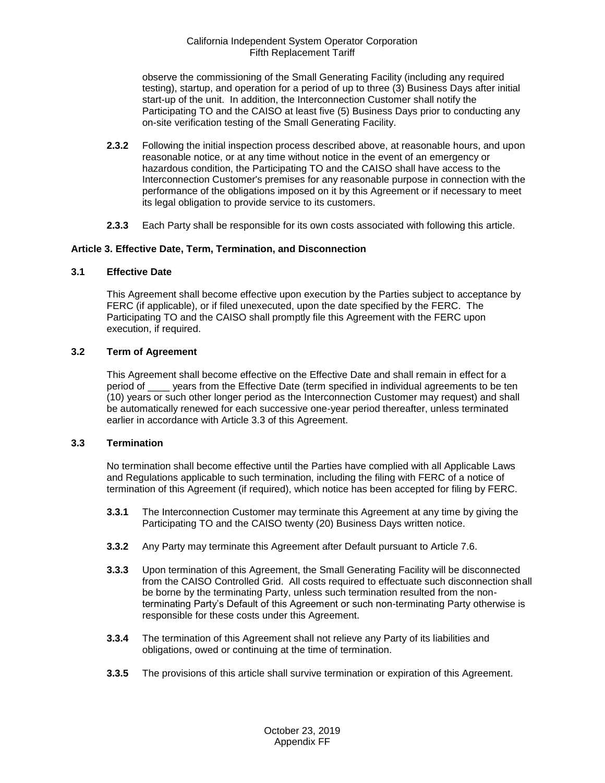observe the commissioning of the Small Generating Facility (including any required testing), startup, and operation for a period of up to three (3) Business Days after initial start-up of the unit. In addition, the Interconnection Customer shall notify the Participating TO and the CAISO at least five (5) Business Days prior to conducting any on-site verification testing of the Small Generating Facility.

- **2.3.2** Following the initial inspection process described above, at reasonable hours, and upon reasonable notice, or at any time without notice in the event of an emergency or hazardous condition, the Participating TO and the CAISO shall have access to the Interconnection Customer's premises for any reasonable purpose in connection with the performance of the obligations imposed on it by this Agreement or if necessary to meet its legal obligation to provide service to its customers.
- **2.3.3** Each Party shall be responsible for its own costs associated with following this article.

### <span id="page-9-0"></span>**Article 3. Effective Date, Term, Termination, and Disconnection**

### <span id="page-9-1"></span>**3.1 Effective Date**

This Agreement shall become effective upon execution by the Parties subject to acceptance by FERC (if applicable), or if filed unexecuted, upon the date specified by the FERC. The Participating TO and the CAISO shall promptly file this Agreement with the FERC upon execution, if required.

### <span id="page-9-2"></span>**3.2 Term of Agreement**

This Agreement shall become effective on the Effective Date and shall remain in effect for a period of \_\_\_\_ years from the Effective Date (term specified in individual agreements to be ten (10) years or such other longer period as the Interconnection Customer may request) and shall be automatically renewed for each successive one-year period thereafter, unless terminated earlier in accordance with Article 3.3 of this Agreement.

#### <span id="page-9-3"></span>**3.3 Termination**

No termination shall become effective until the Parties have complied with all Applicable Laws and Regulations applicable to such termination, including the filing with FERC of a notice of termination of this Agreement (if required), which notice has been accepted for filing by FERC.

- **3.3.1** The Interconnection Customer may terminate this Agreement at any time by giving the Participating TO and the CAISO twenty (20) Business Days written notice.
- **3.3.2** Any Party may terminate this Agreement after Default pursuant to Article 7.6.
- **3.3.3** Upon termination of this Agreement, the Small Generating Facility will be disconnected from the CAISO Controlled Grid. All costs required to effectuate such disconnection shall be borne by the terminating Party, unless such termination resulted from the nonterminating Party's Default of this Agreement or such non-terminating Party otherwise is responsible for these costs under this Agreement.
- **3.3.4** The termination of this Agreement shall not relieve any Party of its liabilities and obligations, owed or continuing at the time of termination.
- **3.3.5** The provisions of this article shall survive termination or expiration of this Agreement.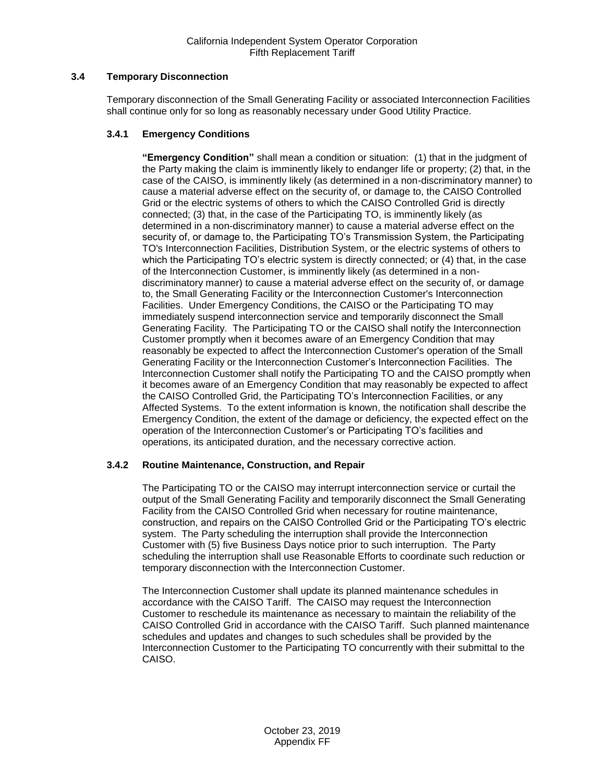# <span id="page-10-0"></span>**3.4 Temporary Disconnection**

Temporary disconnection of the Small Generating Facility or associated Interconnection Facilities shall continue only for so long as reasonably necessary under Good Utility Practice.

# **3.4.1 Emergency Conditions**

**"Emergency Condition"** shall mean a condition or situation: (1) that in the judgment of the Party making the claim is imminently likely to endanger life or property; (2) that, in the case of the CAISO, is imminently likely (as determined in a non-discriminatory manner) to cause a material adverse effect on the security of, or damage to, the CAISO Controlled Grid or the electric systems of others to which the CAISO Controlled Grid is directly connected; (3) that, in the case of the Participating TO, is imminently likely (as determined in a non-discriminatory manner) to cause a material adverse effect on the security of, or damage to, the Participating TO's Transmission System, the Participating TO's Interconnection Facilities, Distribution System, or the electric systems of others to which the Participating TO's electric system is directly connected; or (4) that, in the case of the Interconnection Customer, is imminently likely (as determined in a nondiscriminatory manner) to cause a material adverse effect on the security of, or damage to, the Small Generating Facility or the Interconnection Customer's Interconnection Facilities. Under Emergency Conditions, the CAISO or the Participating TO may immediately suspend interconnection service and temporarily disconnect the Small Generating Facility. The Participating TO or the CAISO shall notify the Interconnection Customer promptly when it becomes aware of an Emergency Condition that may reasonably be expected to affect the Interconnection Customer's operation of the Small Generating Facility or the Interconnection Customer's Interconnection Facilities. The Interconnection Customer shall notify the Participating TO and the CAISO promptly when it becomes aware of an Emergency Condition that may reasonably be expected to affect the CAISO Controlled Grid, the Participating TO's Interconnection Facilities, or any Affected Systems. To the extent information is known, the notification shall describe the Emergency Condition, the extent of the damage or deficiency, the expected effect on the operation of the Interconnection Customer's or Participating TO's facilities and operations, its anticipated duration, and the necessary corrective action.

# **3.4.2 Routine Maintenance, Construction, and Repair**

The Participating TO or the CAISO may interrupt interconnection service or curtail the output of the Small Generating Facility and temporarily disconnect the Small Generating Facility from the CAISO Controlled Grid when necessary for routine maintenance, construction, and repairs on the CAISO Controlled Grid or the Participating TO's electric system. The Party scheduling the interruption shall provide the Interconnection Customer with (5) five Business Days notice prior to such interruption. The Party scheduling the interruption shall use Reasonable Efforts to coordinate such reduction or temporary disconnection with the Interconnection Customer.

The Interconnection Customer shall update its planned maintenance schedules in accordance with the CAISO Tariff. The CAISO may request the Interconnection Customer to reschedule its maintenance as necessary to maintain the reliability of the CAISO Controlled Grid in accordance with the CAISO Tariff. Such planned maintenance schedules and updates and changes to such schedules shall be provided by the Interconnection Customer to the Participating TO concurrently with their submittal to the CAISO.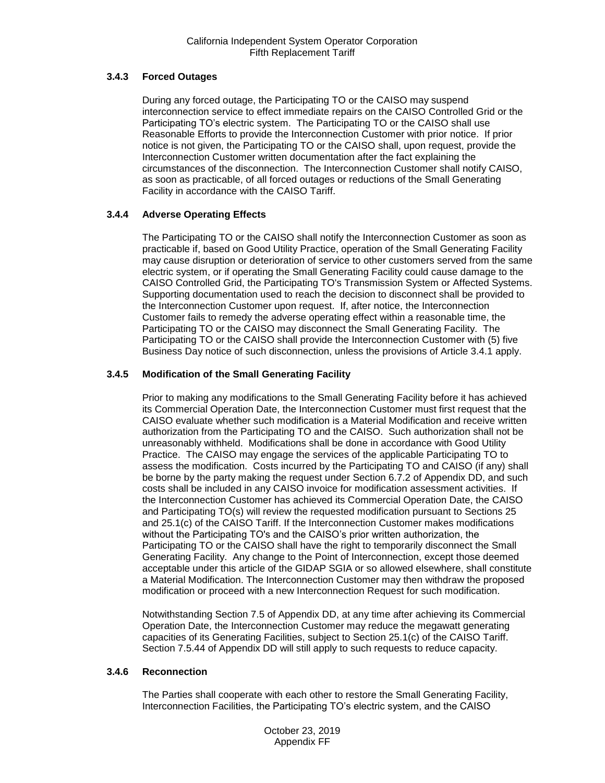# **3.4.3 Forced Outages**

During any forced outage, the Participating TO or the CAISO may suspend interconnection service to effect immediate repairs on the CAISO Controlled Grid or the Participating TO's electric system. The Participating TO or the CAISO shall use Reasonable Efforts to provide the Interconnection Customer with prior notice. If prior notice is not given, the Participating TO or the CAISO shall, upon request, provide the Interconnection Customer written documentation after the fact explaining the circumstances of the disconnection. The Interconnection Customer shall notify CAISO, as soon as practicable, of all forced outages or reductions of the Small Generating Facility in accordance with the CAISO Tariff.

# **3.4.4 Adverse Operating Effects**

The Participating TO or the CAISO shall notify the Interconnection Customer as soon as practicable if, based on Good Utility Practice, operation of the Small Generating Facility may cause disruption or deterioration of service to other customers served from the same electric system, or if operating the Small Generating Facility could cause damage to the CAISO Controlled Grid, the Participating TO's Transmission System or Affected Systems. Supporting documentation used to reach the decision to disconnect shall be provided to the Interconnection Customer upon request. If, after notice, the Interconnection Customer fails to remedy the adverse operating effect within a reasonable time, the Participating TO or the CAISO may disconnect the Small Generating Facility. The Participating TO or the CAISO shall provide the Interconnection Customer with (5) five Business Day notice of such disconnection, unless the provisions of Article 3.4.1 apply.

### **3.4.5 Modification of the Small Generating Facility**

Prior to making any modifications to the Small Generating Facility before it has achieved its Commercial Operation Date, the Interconnection Customer must first request that the CAISO evaluate whether such modification is a Material Modification and receive written authorization from the Participating TO and the CAISO. Such authorization shall not be unreasonably withheld. Modifications shall be done in accordance with Good Utility Practice. The CAISO may engage the services of the applicable Participating TO to assess the modification. Costs incurred by the Participating TO and CAISO (if any) shall be borne by the party making the request under Section 6.7.2 of Appendix DD, and such costs shall be included in any CAISO invoice for modification assessment activities. If the Interconnection Customer has achieved its Commercial Operation Date, the CAISO and Participating TO(s) will review the requested modification pursuant to Sections 25 and 25.1(c) of the CAISO Tariff. If the Interconnection Customer makes modifications without the Participating TO's and the CAISO's prior written authorization, the Participating TO or the CAISO shall have the right to temporarily disconnect the Small Generating Facility. Any change to the Point of Interconnection, except those deemed acceptable under this article of the GIDAP SGIA or so allowed elsewhere, shall constitute a Material Modification. The Interconnection Customer may then withdraw the proposed modification or proceed with a new Interconnection Request for such modification.

Notwithstanding Section 7.5 of Appendix DD, at any time after achieving its Commercial Operation Date, the Interconnection Customer may reduce the megawatt generating capacities of its Generating Facilities, subject to Section 25.1(c) of the CAISO Tariff. Section 7.5.44 of Appendix DD will still apply to such requests to reduce capacity.

#### **3.4.6 Reconnection**

The Parties shall cooperate with each other to restore the Small Generating Facility, Interconnection Facilities, the Participating TO's electric system, and the CAISO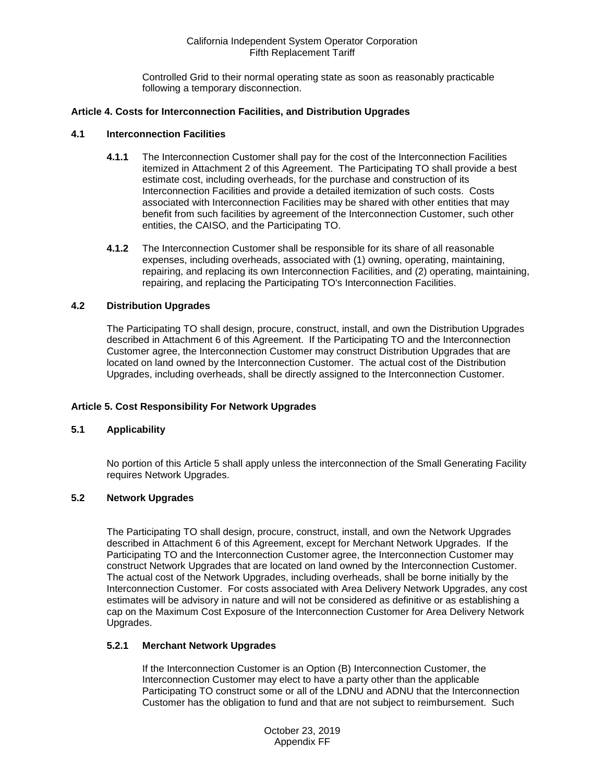Controlled Grid to their normal operating state as soon as reasonably practicable following a temporary disconnection.

#### <span id="page-12-0"></span>**Article 4. Costs for Interconnection Facilities, and Distribution Upgrades**

#### <span id="page-12-1"></span>**4.1 Interconnection Facilities**

- **4.1.1** The Interconnection Customer shall pay for the cost of the Interconnection Facilities itemized in Attachment 2 of this Agreement. The Participating TO shall provide a best estimate cost, including overheads, for the purchase and construction of its Interconnection Facilities and provide a detailed itemization of such costs. Costs associated with Interconnection Facilities may be shared with other entities that may benefit from such facilities by agreement of the Interconnection Customer, such other entities, the CAISO, and the Participating TO.
- **4.1.2** The Interconnection Customer shall be responsible for its share of all reasonable expenses, including overheads, associated with (1) owning, operating, maintaining, repairing, and replacing its own Interconnection Facilities, and (2) operating, maintaining, repairing, and replacing the Participating TO's Interconnection Facilities.

### <span id="page-12-2"></span>**4.2 Distribution Upgrades**

The Participating TO shall design, procure, construct, install, and own the Distribution Upgrades described in Attachment 6 of this Agreement. If the Participating TO and the Interconnection Customer agree, the Interconnection Customer may construct Distribution Upgrades that are located on land owned by the Interconnection Customer. The actual cost of the Distribution Upgrades, including overheads, shall be directly assigned to the Interconnection Customer.

# **Article 5. Cost Responsibility For Network Upgrades**

# <span id="page-12-3"></span>**5.1 Applicability**

No portion of this Article 5 shall apply unless the interconnection of the Small Generating Facility requires Network Upgrades.

# <span id="page-12-4"></span>**5.2 Network Upgrades**

The Participating TO shall design, procure, construct, install, and own the Network Upgrades described in Attachment 6 of this Agreement, except for Merchant Network Upgrades. If the Participating TO and the Interconnection Customer agree, the Interconnection Customer may construct Network Upgrades that are located on land owned by the Interconnection Customer. The actual cost of the Network Upgrades, including overheads, shall be borne initially by the Interconnection Customer. For costs associated with Area Delivery Network Upgrades, any cost estimates will be advisory in nature and will not be considered as definitive or as establishing a cap on the Maximum Cost Exposure of the Interconnection Customer for Area Delivery Network Upgrades.

#### **5.2.1 Merchant Network Upgrades**

If the Interconnection Customer is an Option (B) Interconnection Customer, the Interconnection Customer may elect to have a party other than the applicable Participating TO construct some or all of the LDNU and ADNU that the Interconnection Customer has the obligation to fund and that are not subject to reimbursement. Such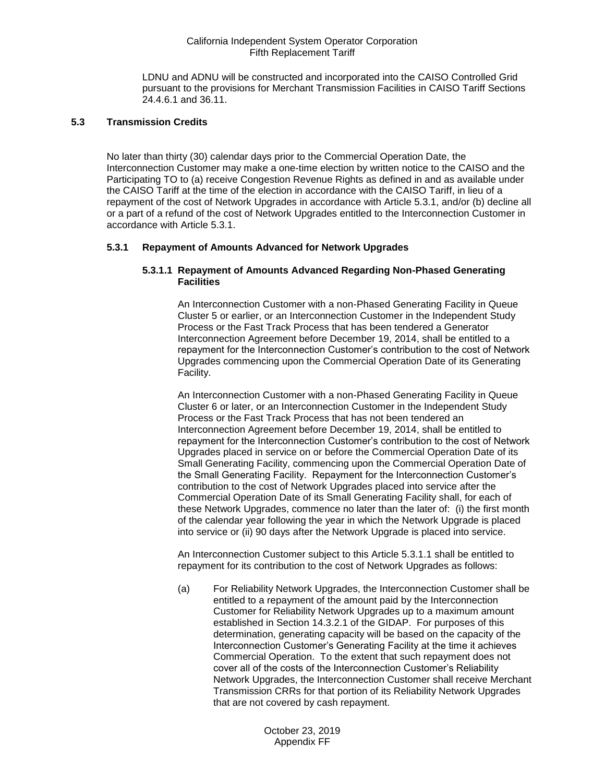LDNU and ADNU will be constructed and incorporated into the CAISO Controlled Grid pursuant to the provisions for Merchant Transmission Facilities in CAISO Tariff Sections 24.4.6.1 and 36.11.

# <span id="page-13-0"></span>**5.3 Transmission Credits**

No later than thirty (30) calendar days prior to the Commercial Operation Date, the Interconnection Customer may make a one-time election by written notice to the CAISO and the Participating TO to (a) receive Congestion Revenue Rights as defined in and as available under the CAISO Tariff at the time of the election in accordance with the CAISO Tariff, in lieu of a repayment of the cost of Network Upgrades in accordance with Article 5.3.1, and/or (b) decline all or a part of a refund of the cost of Network Upgrades entitled to the Interconnection Customer in accordance with Article 5.3.1.

### **5.3.1 Repayment of Amounts Advanced for Network Upgrades**

### **5.3.1.1 Repayment of Amounts Advanced Regarding Non-Phased Generating Facilities**

An Interconnection Customer with a non-Phased Generating Facility in Queue Cluster 5 or earlier, or an Interconnection Customer in the Independent Study Process or the Fast Track Process that has been tendered a Generator Interconnection Agreement before December 19, 2014, shall be entitled to a repayment for the Interconnection Customer's contribution to the cost of Network Upgrades commencing upon the Commercial Operation Date of its Generating Facility.

An Interconnection Customer with a non-Phased Generating Facility in Queue Cluster 6 or later, or an Interconnection Customer in the Independent Study Process or the Fast Track Process that has not been tendered an Interconnection Agreement before December 19, 2014, shall be entitled to repayment for the Interconnection Customer's contribution to the cost of Network Upgrades placed in service on or before the Commercial Operation Date of its Small Generating Facility, commencing upon the Commercial Operation Date of the Small Generating Facility. Repayment for the Interconnection Customer's contribution to the cost of Network Upgrades placed into service after the Commercial Operation Date of its Small Generating Facility shall, for each of these Network Upgrades, commence no later than the later of: (i) the first month of the calendar year following the year in which the Network Upgrade is placed into service or (ii) 90 days after the Network Upgrade is placed into service.

An Interconnection Customer subject to this Article 5.3.1.1 shall be entitled to repayment for its contribution to the cost of Network Upgrades as follows:

(a) For Reliability Network Upgrades, the Interconnection Customer shall be entitled to a repayment of the amount paid by the Interconnection Customer for Reliability Network Upgrades up to a maximum amount established in Section 14.3.2.1 of the GIDAP. For purposes of this determination, generating capacity will be based on the capacity of the Interconnection Customer's Generating Facility at the time it achieves Commercial Operation. To the extent that such repayment does not cover all of the costs of the Interconnection Customer's Reliability Network Upgrades, the Interconnection Customer shall receive Merchant Transmission CRRs for that portion of its Reliability Network Upgrades that are not covered by cash repayment.

> October 23, 2019 Appendix FF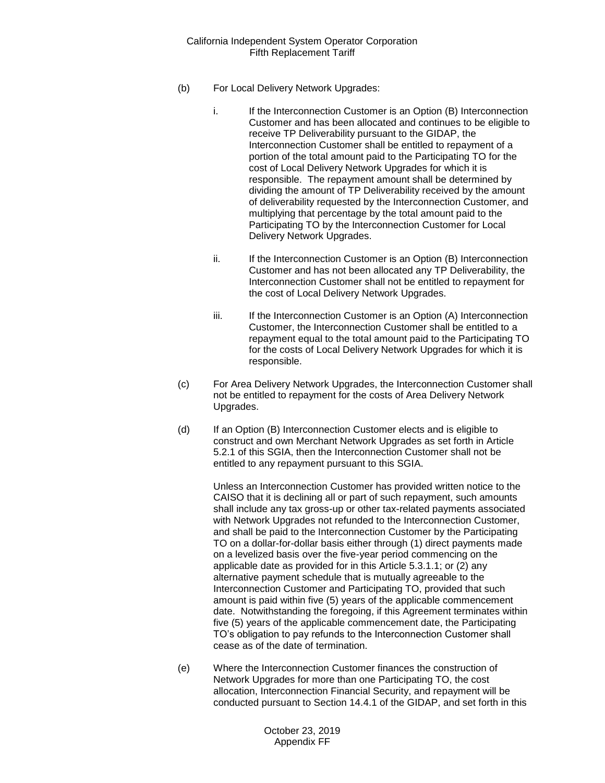- (b) For Local Delivery Network Upgrades:
	- i. If the Interconnection Customer is an Option (B) Interconnection Customer and has been allocated and continues to be eligible to receive TP Deliverability pursuant to the GIDAP, the Interconnection Customer shall be entitled to repayment of a portion of the total amount paid to the Participating TO for the cost of Local Delivery Network Upgrades for which it is responsible. The repayment amount shall be determined by dividing the amount of TP Deliverability received by the amount of deliverability requested by the Interconnection Customer, and multiplying that percentage by the total amount paid to the Participating TO by the Interconnection Customer for Local Delivery Network Upgrades.
	- ii. If the Interconnection Customer is an Option (B) Interconnection Customer and has not been allocated any TP Deliverability, the Interconnection Customer shall not be entitled to repayment for the cost of Local Delivery Network Upgrades.
	- iii. If the Interconnection Customer is an Option (A) Interconnection Customer, the Interconnection Customer shall be entitled to a repayment equal to the total amount paid to the Participating TO for the costs of Local Delivery Network Upgrades for which it is responsible.
- (c) For Area Delivery Network Upgrades, the Interconnection Customer shall not be entitled to repayment for the costs of Area Delivery Network Upgrades.
- (d) If an Option (B) Interconnection Customer elects and is eligible to construct and own Merchant Network Upgrades as set forth in Article 5.2.1 of this SGIA, then the Interconnection Customer shall not be entitled to any repayment pursuant to this SGIA.

Unless an Interconnection Customer has provided written notice to the CAISO that it is declining all or part of such repayment, such amounts shall include any tax gross-up or other tax-related payments associated with Network Upgrades not refunded to the Interconnection Customer, and shall be paid to the Interconnection Customer by the Participating TO on a dollar-for-dollar basis either through (1) direct payments made on a levelized basis over the five-year period commencing on the applicable date as provided for in this Article 5.3.1.1; or (2) any alternative payment schedule that is mutually agreeable to the Interconnection Customer and Participating TO, provided that such amount is paid within five (5) years of the applicable commencement date. Notwithstanding the foregoing, if this Agreement terminates within five (5) years of the applicable commencement date, the Participating TO's obligation to pay refunds to the Interconnection Customer shall cease as of the date of termination.

(e) Where the Interconnection Customer finances the construction of Network Upgrades for more than one Participating TO, the cost allocation, Interconnection Financial Security, and repayment will be conducted pursuant to Section 14.4.1 of the GIDAP, and set forth in this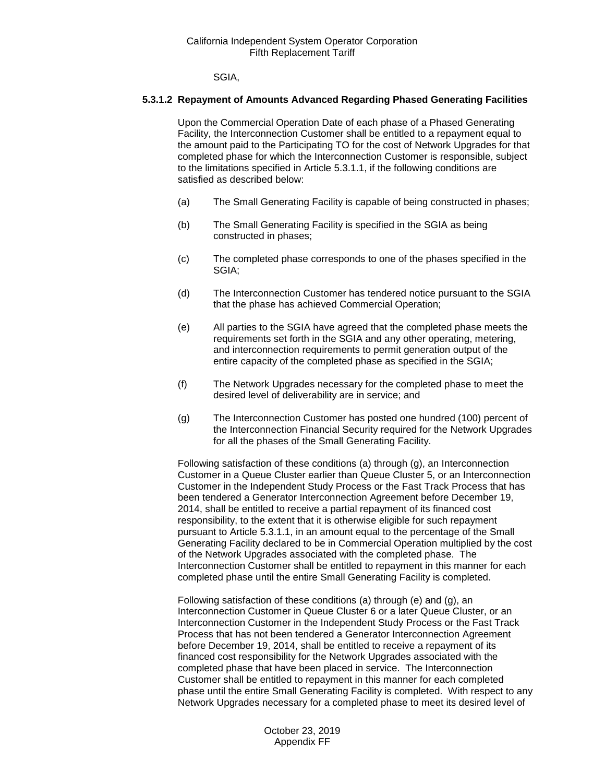SGIA,

#### **5.3.1.2 Repayment of Amounts Advanced Regarding Phased Generating Facilities**

Upon the Commercial Operation Date of each phase of a Phased Generating Facility, the Interconnection Customer shall be entitled to a repayment equal to the amount paid to the Participating TO for the cost of Network Upgrades for that completed phase for which the Interconnection Customer is responsible, subject to the limitations specified in Article 5.3.1.1, if the following conditions are satisfied as described below:

- (a) The Small Generating Facility is capable of being constructed in phases;
- (b) The Small Generating Facility is specified in the SGIA as being constructed in phases;
- (c) The completed phase corresponds to one of the phases specified in the SGIA;
- (d) The Interconnection Customer has tendered notice pursuant to the SGIA that the phase has achieved Commercial Operation;
- (e) All parties to the SGIA have agreed that the completed phase meets the requirements set forth in the SGIA and any other operating, metering, and interconnection requirements to permit generation output of the entire capacity of the completed phase as specified in the SGIA;
- (f) The Network Upgrades necessary for the completed phase to meet the desired level of deliverability are in service; and
- (g) The Interconnection Customer has posted one hundred (100) percent of the Interconnection Financial Security required for the Network Upgrades for all the phases of the Small Generating Facility.

Following satisfaction of these conditions (a) through (g), an Interconnection Customer in a Queue Cluster earlier than Queue Cluster 5, or an Interconnection Customer in the Independent Study Process or the Fast Track Process that has been tendered a Generator Interconnection Agreement before December 19, 2014, shall be entitled to receive a partial repayment of its financed cost responsibility, to the extent that it is otherwise eligible for such repayment pursuant to Article 5.3.1.1, in an amount equal to the percentage of the Small Generating Facility declared to be in Commercial Operation multiplied by the cost of the Network Upgrades associated with the completed phase. The Interconnection Customer shall be entitled to repayment in this manner for each completed phase until the entire Small Generating Facility is completed.

Following satisfaction of these conditions (a) through (e) and (g), an Interconnection Customer in Queue Cluster 6 or a later Queue Cluster, or an Interconnection Customer in the Independent Study Process or the Fast Track Process that has not been tendered a Generator Interconnection Agreement before December 19, 2014, shall be entitled to receive a repayment of its financed cost responsibility for the Network Upgrades associated with the completed phase that have been placed in service. The Interconnection Customer shall be entitled to repayment in this manner for each completed phase until the entire Small Generating Facility is completed. With respect to any Network Upgrades necessary for a completed phase to meet its desired level of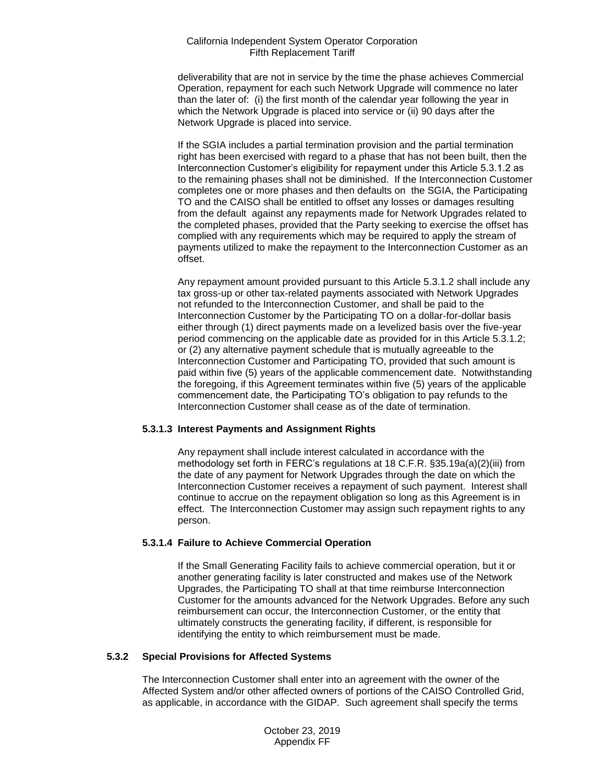deliverability that are not in service by the time the phase achieves Commercial Operation, repayment for each such Network Upgrade will commence no later than the later of: (i) the first month of the calendar year following the year in which the Network Upgrade is placed into service or (ii) 90 days after the Network Upgrade is placed into service.

If the SGIA includes a partial termination provision and the partial termination right has been exercised with regard to a phase that has not been built, then the Interconnection Customer's eligibility for repayment under this Article 5.3.1.2 as to the remaining phases shall not be diminished. If the Interconnection Customer completes one or more phases and then defaults on the SGIA, the Participating TO and the CAISO shall be entitled to offset any losses or damages resulting from the default against any repayments made for Network Upgrades related to the completed phases, provided that the Party seeking to exercise the offset has complied with any requirements which may be required to apply the stream of payments utilized to make the repayment to the Interconnection Customer as an offset.

Any repayment amount provided pursuant to this Article 5.3.1.2 shall include any tax gross-up or other tax-related payments associated with Network Upgrades not refunded to the Interconnection Customer, and shall be paid to the Interconnection Customer by the Participating TO on a dollar-for-dollar basis either through (1) direct payments made on a levelized basis over the five-year period commencing on the applicable date as provided for in this Article 5.3.1.2; or (2) any alternative payment schedule that is mutually agreeable to the Interconnection Customer and Participating TO, provided that such amount is paid within five (5) years of the applicable commencement date. Notwithstanding the foregoing, if this Agreement terminates within five (5) years of the applicable commencement date, the Participating TO's obligation to pay refunds to the Interconnection Customer shall cease as of the date of termination.

# **5.3.1.3 Interest Payments and Assignment Rights**

Any repayment shall include interest calculated in accordance with the methodology set forth in FERC's regulations at 18 C.F.R. §35.19a(a)(2)(iii) from the date of any payment for Network Upgrades through the date on which the Interconnection Customer receives a repayment of such payment. Interest shall continue to accrue on the repayment obligation so long as this Agreement is in effect. The Interconnection Customer may assign such repayment rights to any person.

# **5.3.1.4 Failure to Achieve Commercial Operation**

If the Small Generating Facility fails to achieve commercial operation, but it or another generating facility is later constructed and makes use of the Network Upgrades, the Participating TO shall at that time reimburse Interconnection Customer for the amounts advanced for the Network Upgrades. Before any such reimbursement can occur, the Interconnection Customer, or the entity that ultimately constructs the generating facility, if different, is responsible for identifying the entity to which reimbursement must be made.

#### **5.3.2 Special Provisions for Affected Systems**

The Interconnection Customer shall enter into an agreement with the owner of the Affected System and/or other affected owners of portions of the CAISO Controlled Grid, as applicable, in accordance with the GIDAP. Such agreement shall specify the terms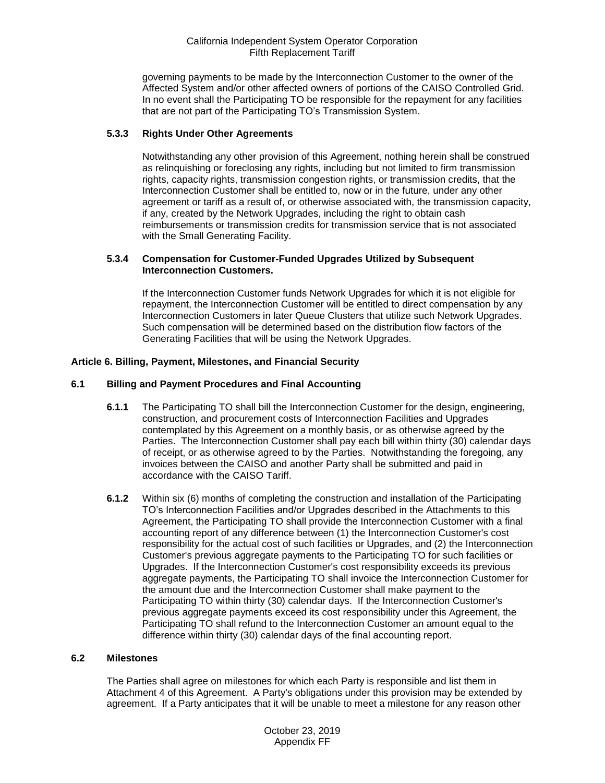governing payments to be made by the Interconnection Customer to the owner of the Affected System and/or other affected owners of portions of the CAISO Controlled Grid. In no event shall the Participating TO be responsible for the repayment for any facilities that are not part of the Participating TO's Transmission System.

# **5.3.3 Rights Under Other Agreements**

Notwithstanding any other provision of this Agreement, nothing herein shall be construed as relinquishing or foreclosing any rights, including but not limited to firm transmission rights, capacity rights, transmission congestion rights, or transmission credits, that the Interconnection Customer shall be entitled to, now or in the future, under any other agreement or tariff as a result of, or otherwise associated with, the transmission capacity, if any, created by the Network Upgrades, including the right to obtain cash reimbursements or transmission credits for transmission service that is not associated with the Small Generating Facility.

### **5.3.4 Compensation for Customer-Funded Upgrades Utilized by Subsequent Interconnection Customers.**

If the Interconnection Customer funds Network Upgrades for which it is not eligible for repayment, the Interconnection Customer will be entitled to direct compensation by any Interconnection Customers in later Queue Clusters that utilize such Network Upgrades. Such compensation will be determined based on the distribution flow factors of the Generating Facilities that will be using the Network Upgrades.

# <span id="page-17-0"></span>**Article 6. Billing, Payment, Milestones, and Financial Security**

# <span id="page-17-1"></span>**6.1 Billing and Payment Procedures and Final Accounting**

- **6.1.1** The Participating TO shall bill the Interconnection Customer for the design, engineering, construction, and procurement costs of Interconnection Facilities and Upgrades contemplated by this Agreement on a monthly basis, or as otherwise agreed by the Parties. The Interconnection Customer shall pay each bill within thirty (30) calendar days of receipt, or as otherwise agreed to by the Parties. Notwithstanding the foregoing, any invoices between the CAISO and another Party shall be submitted and paid in accordance with the CAISO Tariff.
- **6.1.2** Within six (6) months of completing the construction and installation of the Participating TO's Interconnection Facilities and/or Upgrades described in the Attachments to this Agreement, the Participating TO shall provide the Interconnection Customer with a final accounting report of any difference between (1) the Interconnection Customer's cost responsibility for the actual cost of such facilities or Upgrades, and (2) the Interconnection Customer's previous aggregate payments to the Participating TO for such facilities or Upgrades. If the Interconnection Customer's cost responsibility exceeds its previous aggregate payments, the Participating TO shall invoice the Interconnection Customer for the amount due and the Interconnection Customer shall make payment to the Participating TO within thirty (30) calendar days. If the Interconnection Customer's previous aggregate payments exceed its cost responsibility under this Agreement, the Participating TO shall refund to the Interconnection Customer an amount equal to the difference within thirty (30) calendar days of the final accounting report.

# <span id="page-17-2"></span>**6.2 Milestones**

The Parties shall agree on milestones for which each Party is responsible and list them in Attachment 4 of this Agreement. A Party's obligations under this provision may be extended by agreement. If a Party anticipates that it will be unable to meet a milestone for any reason other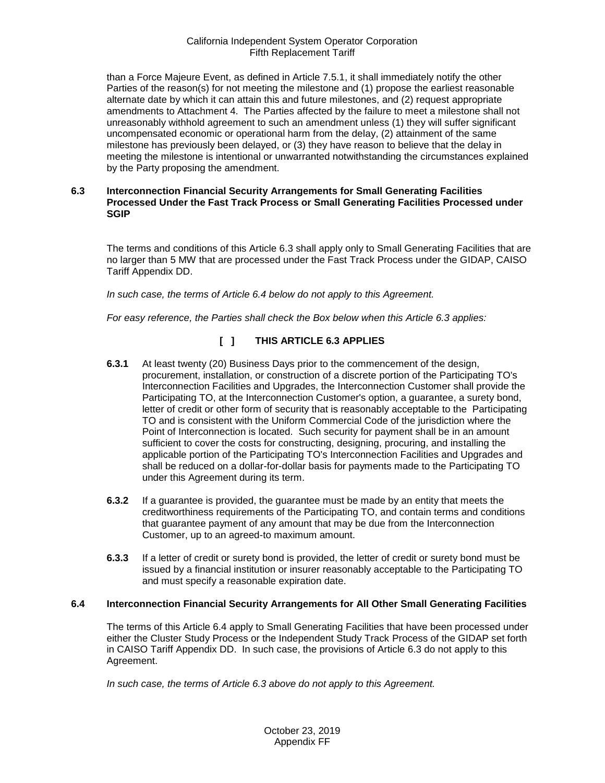than a Force Majeure Event, as defined in Article 7.5.1, it shall immediately notify the other Parties of the reason(s) for not meeting the milestone and (1) propose the earliest reasonable alternate date by which it can attain this and future milestones, and (2) request appropriate amendments to Attachment 4. The Parties affected by the failure to meet a milestone shall not unreasonably withhold agreement to such an amendment unless (1) they will suffer significant uncompensated economic or operational harm from the delay, (2) attainment of the same milestone has previously been delayed, or (3) they have reason to believe that the delay in meeting the milestone is intentional or unwarranted notwithstanding the circumstances explained by the Party proposing the amendment.

#### <span id="page-18-0"></span>**6.3 Interconnection Financial Security Arrangements for Small Generating Facilities Processed Under the Fast Track Process or Small Generating Facilities Processed under SGIP**

The terms and conditions of this Article 6.3 shall apply only to Small Generating Facilities that are no larger than 5 MW that are processed under the Fast Track Process under the GIDAP, CAISO Tariff Appendix DD.

*In such case, the terms of Article 6.4 below do not apply to this Agreement.*

*For easy reference, the Parties shall check the Box below when this Article 6.3 applies:* 

# **[ ] THIS ARTICLE 6.3 APPLIES**

- **6.3.1** At least twenty (20) Business Days prior to the commencement of the design, procurement, installation, or construction of a discrete portion of the Participating TO's Interconnection Facilities and Upgrades, the Interconnection Customer shall provide the Participating TO, at the Interconnection Customer's option, a guarantee, a surety bond, letter of credit or other form of security that is reasonably acceptable to the Participating TO and is consistent with the Uniform Commercial Code of the jurisdiction where the Point of Interconnection is located. Such security for payment shall be in an amount sufficient to cover the costs for constructing, designing, procuring, and installing the applicable portion of the Participating TO's Interconnection Facilities and Upgrades and shall be reduced on a dollar-for-dollar basis for payments made to the Participating TO under this Agreement during its term.
- **6.3.2** If a guarantee is provided, the guarantee must be made by an entity that meets the creditworthiness requirements of the Participating TO, and contain terms and conditions that guarantee payment of any amount that may be due from the Interconnection Customer, up to an agreed-to maximum amount.
- **6.3.3** If a letter of credit or surety bond is provided, the letter of credit or surety bond must be issued by a financial institution or insurer reasonably acceptable to the Participating TO and must specify a reasonable expiration date.

# <span id="page-18-1"></span>**6.4 Interconnection Financial Security Arrangements for All Other Small Generating Facilities**

The terms of this Article 6.4 apply to Small Generating Facilities that have been processed under either the Cluster Study Process or the Independent Study Track Process of the GIDAP set forth in CAISO Tariff Appendix DD. In such case, the provisions of Article 6.3 do not apply to this Agreement.

*In such case, the terms of Article 6.3 above do not apply to this Agreement.*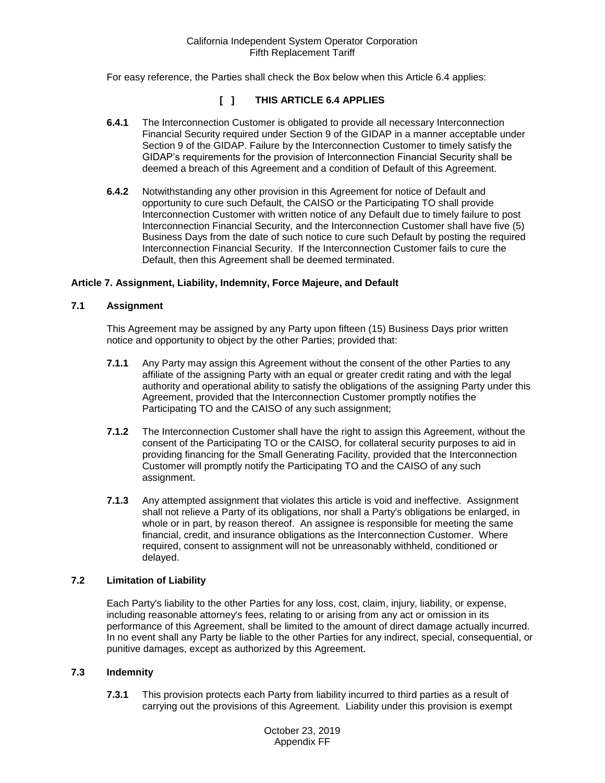For easy reference, the Parties shall check the Box below when this Article 6.4 applies:

# **[ ] THIS ARTICLE 6.4 APPLIES**

- **6.4.1** The Interconnection Customer is obligated to provide all necessary Interconnection Financial Security required under Section 9 of the GIDAP in a manner acceptable under Section 9 of the GIDAP. Failure by the Interconnection Customer to timely satisfy the GIDAP's requirements for the provision of Interconnection Financial Security shall be deemed a breach of this Agreement and a condition of Default of this Agreement.
- **6.4.2** Notwithstanding any other provision in this Agreement for notice of Default and opportunity to cure such Default, the CAISO or the Participating TO shall provide Interconnection Customer with written notice of any Default due to timely failure to post Interconnection Financial Security, and the Interconnection Customer shall have five (5) Business Days from the date of such notice to cure such Default by posting the required Interconnection Financial Security. If the Interconnection Customer fails to cure the Default, then this Agreement shall be deemed terminated.

## <span id="page-19-0"></span>**Article 7. Assignment, Liability, Indemnity, Force Majeure, and Default**

#### <span id="page-19-1"></span>**7.1 Assignment**

This Agreement may be assigned by any Party upon fifteen (15) Business Days prior written notice and opportunity to object by the other Parties; provided that:

- **7.1.1** Any Party may assign this Agreement without the consent of the other Parties to any affiliate of the assigning Party with an equal or greater credit rating and with the legal authority and operational ability to satisfy the obligations of the assigning Party under this Agreement, provided that the Interconnection Customer promptly notifies the Participating TO and the CAISO of any such assignment;
- **7.1.2** The Interconnection Customer shall have the right to assign this Agreement, without the consent of the Participating TO or the CAISO, for collateral security purposes to aid in providing financing for the Small Generating Facility, provided that the Interconnection Customer will promptly notify the Participating TO and the CAISO of any such assignment.
- **7.1.3** Any attempted assignment that violates this article is void and ineffective. Assignment shall not relieve a Party of its obligations, nor shall a Party's obligations be enlarged, in whole or in part, by reason thereof. An assignee is responsible for meeting the same financial, credit, and insurance obligations as the Interconnection Customer. Where required, consent to assignment will not be unreasonably withheld, conditioned or delayed.

### <span id="page-19-2"></span>**7.2 Limitation of Liability**

Each Party's liability to the other Parties for any loss, cost, claim, injury, liability, or expense, including reasonable attorney's fees, relating to or arising from any act or omission in its performance of this Agreement, shall be limited to the amount of direct damage actually incurred. In no event shall any Party be liable to the other Parties for any indirect, special, consequential, or punitive damages, except as authorized by this Agreement.

#### <span id="page-19-3"></span>**7.3 Indemnity**

**7.3.1** This provision protects each Party from liability incurred to third parties as a result of carrying out the provisions of this Agreement. Liability under this provision is exempt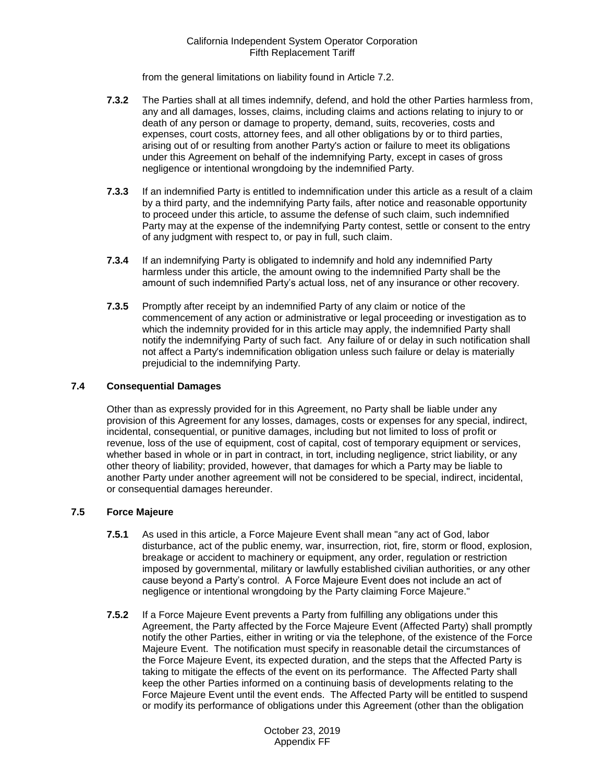from the general limitations on liability found in Article 7.2.

- **7.3.2** The Parties shall at all times indemnify, defend, and hold the other Parties harmless from, any and all damages, losses, claims, including claims and actions relating to injury to or death of any person or damage to property, demand, suits, recoveries, costs and expenses, court costs, attorney fees, and all other obligations by or to third parties, arising out of or resulting from another Party's action or failure to meet its obligations under this Agreement on behalf of the indemnifying Party, except in cases of gross negligence or intentional wrongdoing by the indemnified Party.
- **7.3.3** If an indemnified Party is entitled to indemnification under this article as a result of a claim by a third party, and the indemnifying Party fails, after notice and reasonable opportunity to proceed under this article, to assume the defense of such claim, such indemnified Party may at the expense of the indemnifying Party contest, settle or consent to the entry of any judgment with respect to, or pay in full, such claim.
- **7.3.4** If an indemnifying Party is obligated to indemnify and hold any indemnified Party harmless under this article, the amount owing to the indemnified Party shall be the amount of such indemnified Party's actual loss, net of any insurance or other recovery.
- **7.3.5** Promptly after receipt by an indemnified Party of any claim or notice of the commencement of any action or administrative or legal proceeding or investigation as to which the indemnity provided for in this article may apply, the indemnified Party shall notify the indemnifying Party of such fact. Any failure of or delay in such notification shall not affect a Party's indemnification obligation unless such failure or delay is materially prejudicial to the indemnifying Party.

# <span id="page-20-0"></span>**7.4 Consequential Damages**

Other than as expressly provided for in this Agreement, no Party shall be liable under any provision of this Agreement for any losses, damages, costs or expenses for any special, indirect, incidental, consequential, or punitive damages, including but not limited to loss of profit or revenue, loss of the use of equipment, cost of capital, cost of temporary equipment or services, whether based in whole or in part in contract, in tort, including negligence, strict liability, or any other theory of liability; provided, however, that damages for which a Party may be liable to another Party under another agreement will not be considered to be special, indirect, incidental, or consequential damages hereunder.

# <span id="page-20-1"></span>**7.5 Force Majeure**

- **7.5.1** As used in this article, a Force Majeure Event shall mean "any act of God, labor disturbance, act of the public enemy, war, insurrection, riot, fire, storm or flood, explosion, breakage or accident to machinery or equipment, any order, regulation or restriction imposed by governmental, military or lawfully established civilian authorities, or any other cause beyond a Party's control. A Force Majeure Event does not include an act of negligence or intentional wrongdoing by the Party claiming Force Majeure."
- **7.5.2** If a Force Majeure Event prevents a Party from fulfilling any obligations under this Agreement, the Party affected by the Force Majeure Event (Affected Party) shall promptly notify the other Parties, either in writing or via the telephone, of the existence of the Force Majeure Event. The notification must specify in reasonable detail the circumstances of the Force Majeure Event, its expected duration, and the steps that the Affected Party is taking to mitigate the effects of the event on its performance. The Affected Party shall keep the other Parties informed on a continuing basis of developments relating to the Force Majeure Event until the event ends. The Affected Party will be entitled to suspend or modify its performance of obligations under this Agreement (other than the obligation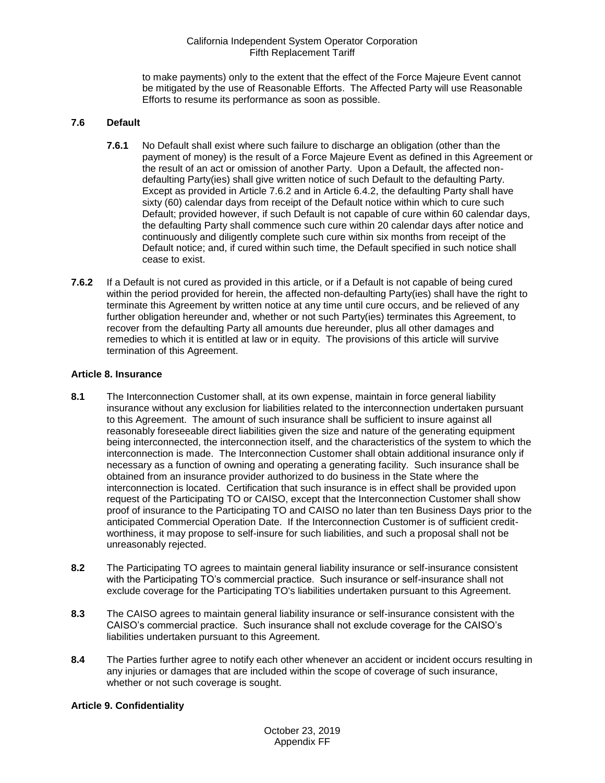to make payments) only to the extent that the effect of the Force Majeure Event cannot be mitigated by the use of Reasonable Efforts. The Affected Party will use Reasonable Efforts to resume its performance as soon as possible.

### <span id="page-21-0"></span>**7.6 Default**

- **7.6.1** No Default shall exist where such failure to discharge an obligation (other than the payment of money) is the result of a Force Majeure Event as defined in this Agreement or the result of an act or omission of another Party. Upon a Default, the affected nondefaulting Party(ies) shall give written notice of such Default to the defaulting Party. Except as provided in Article 7.6.2 and in Article 6.4.2, the defaulting Party shall have sixty (60) calendar days from receipt of the Default notice within which to cure such Default; provided however, if such Default is not capable of cure within 60 calendar days, the defaulting Party shall commence such cure within 20 calendar days after notice and continuously and diligently complete such cure within six months from receipt of the Default notice; and, if cured within such time, the Default specified in such notice shall cease to exist.
- **7.6.2** If a Default is not cured as provided in this article, or if a Default is not capable of being cured within the period provided for herein, the affected non-defaulting Party(ies) shall have the right to terminate this Agreement by written notice at any time until cure occurs, and be relieved of any further obligation hereunder and, whether or not such Party(ies) terminates this Agreement, to recover from the defaulting Party all amounts due hereunder, plus all other damages and remedies to which it is entitled at law or in equity. The provisions of this article will survive termination of this Agreement.

#### <span id="page-21-1"></span>**Article 8. Insurance**

- <span id="page-21-2"></span>**8.1** The Interconnection Customer shall, at its own expense, maintain in force general liability insurance without any exclusion for liabilities related to the interconnection undertaken pursuant to this Agreement. The amount of such insurance shall be sufficient to insure against all reasonably foreseeable direct liabilities given the size and nature of the generating equipment being interconnected, the interconnection itself, and the characteristics of the system to which the interconnection is made. The Interconnection Customer shall obtain additional insurance only if necessary as a function of owning and operating a generating facility. Such insurance shall be obtained from an insurance provider authorized to do business in the State where the interconnection is located. Certification that such insurance is in effect shall be provided upon request of the Participating TO or CAISO, except that the Interconnection Customer shall show proof of insurance to the Participating TO and CAISO no later than ten Business Days prior to the anticipated Commercial Operation Date. If the Interconnection Customer is of sufficient creditworthiness, it may propose to self-insure for such liabilities, and such a proposal shall not be unreasonably rejected.
- <span id="page-21-3"></span>**8.2** The Participating TO agrees to maintain general liability insurance or self-insurance consistent with the Participating TO's commercial practice. Such insurance or self-insurance shall not exclude coverage for the Participating TO's liabilities undertaken pursuant to this Agreement.
- <span id="page-21-4"></span>**8.3** The CAISO agrees to maintain general liability insurance or self-insurance consistent with the CAISO's commercial practice. Such insurance shall not exclude coverage for the CAISO's liabilities undertaken pursuant to this Agreement.
- <span id="page-21-5"></span>**8.4** The Parties further agree to notify each other whenever an accident or incident occurs resulting in any injuries or damages that are included within the scope of coverage of such insurance, whether or not such coverage is sought.

#### <span id="page-21-6"></span>**Article 9. Confidentiality**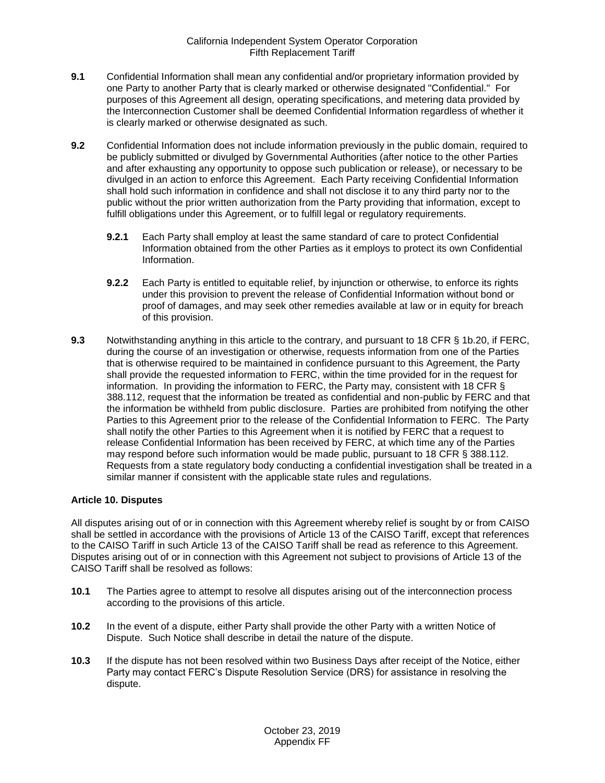- <span id="page-22-0"></span>**9.1** Confidential Information shall mean any confidential and/or proprietary information provided by one Party to another Party that is clearly marked or otherwise designated "Confidential." For purposes of this Agreement all design, operating specifications, and metering data provided by the Interconnection Customer shall be deemed Confidential Information regardless of whether it is clearly marked or otherwise designated as such.
- <span id="page-22-1"></span>**9.2** Confidential Information does not include information previously in the public domain, required to be publicly submitted or divulged by Governmental Authorities (after notice to the other Parties and after exhausting any opportunity to oppose such publication or release), or necessary to be divulged in an action to enforce this Agreement. Each Party receiving Confidential Information shall hold such information in confidence and shall not disclose it to any third party nor to the public without the prior written authorization from the Party providing that information, except to fulfill obligations under this Agreement, or to fulfill legal or regulatory requirements.
	- **9.2.1** Each Party shall employ at least the same standard of care to protect Confidential Information obtained from the other Parties as it employs to protect its own Confidential Information.
	- **9.2.2** Each Party is entitled to equitable relief, by injunction or otherwise, to enforce its rights under this provision to prevent the release of Confidential Information without bond or proof of damages, and may seek other remedies available at law or in equity for breach of this provision.
- <span id="page-22-2"></span>**9.3** Notwithstanding anything in this article to the contrary, and pursuant to 18 CFR § 1b.20, if FERC, during the course of an investigation or otherwise, requests information from one of the Parties that is otherwise required to be maintained in confidence pursuant to this Agreement, the Party shall provide the requested information to FERC, within the time provided for in the request for information. In providing the information to FERC, the Party may, consistent with 18 CFR § 388.112, request that the information be treated as confidential and non-public by FERC and that the information be withheld from public disclosure. Parties are prohibited from notifying the other Parties to this Agreement prior to the release of the Confidential Information to FERC. The Party shall notify the other Parties to this Agreement when it is notified by FERC that a request to release Confidential Information has been received by FERC, at which time any of the Parties may respond before such information would be made public, pursuant to 18 CFR § 388.112. Requests from a state regulatory body conducting a confidential investigation shall be treated in a similar manner if consistent with the applicable state rules and regulations.

# <span id="page-22-3"></span>**Article 10. Disputes**

All disputes arising out of or in connection with this Agreement whereby relief is sought by or from CAISO shall be settled in accordance with the provisions of Article 13 of the CAISO Tariff, except that references to the CAISO Tariff in such Article 13 of the CAISO Tariff shall be read as reference to this Agreement. Disputes arising out of or in connection with this Agreement not subject to provisions of Article 13 of the CAISO Tariff shall be resolved as follows:

- <span id="page-22-4"></span>**10.1** The Parties agree to attempt to resolve all disputes arising out of the interconnection process according to the provisions of this article.
- <span id="page-22-5"></span>**10.2** In the event of a dispute, either Party shall provide the other Party with a written Notice of Dispute. Such Notice shall describe in detail the nature of the dispute.
- <span id="page-22-6"></span>**10.3** If the dispute has not been resolved within two Business Days after receipt of the Notice, either Party may contact FERC's Dispute Resolution Service (DRS) for assistance in resolving the dispute.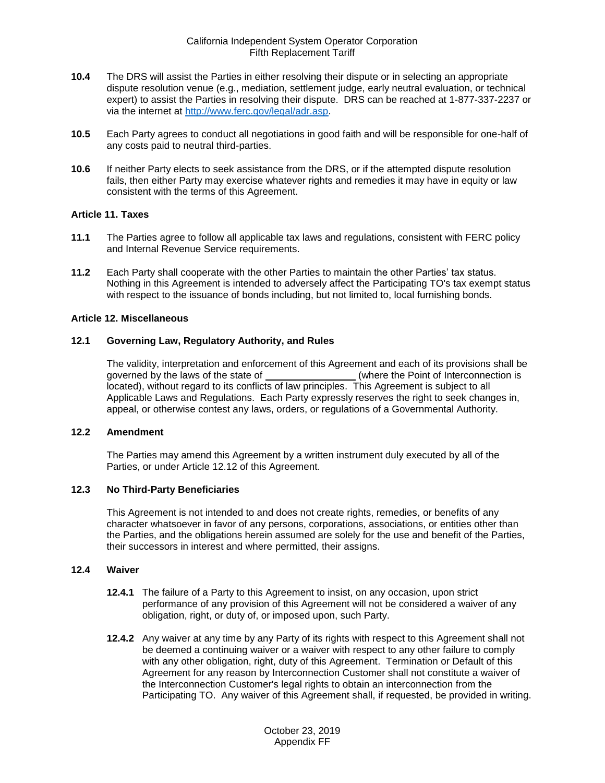- <span id="page-23-0"></span>**10.4** The DRS will assist the Parties in either resolving their dispute or in selecting an appropriate dispute resolution venue (e.g., mediation, settlement judge, early neutral evaluation, or technical expert) to assist the Parties in resolving their dispute. DRS can be reached at 1-877-337-2237 or via the internet at [http://www.ferc.gov/legal/adr.asp.](http://www.ferc.gov/legal/adr.asp)
- <span id="page-23-1"></span>**10.5** Each Party agrees to conduct all negotiations in good faith and will be responsible for one-half of any costs paid to neutral third-parties.
- <span id="page-23-2"></span>**10.6** If neither Party elects to seek assistance from the DRS, or if the attempted dispute resolution fails, then either Party may exercise whatever rights and remedies it may have in equity or law consistent with the terms of this Agreement.

### <span id="page-23-3"></span>**Article 11. Taxes**

- <span id="page-23-4"></span>**11.1** The Parties agree to follow all applicable tax laws and regulations, consistent with FERC policy and Internal Revenue Service requirements.
- <span id="page-23-5"></span>**11.2** Each Party shall cooperate with the other Parties to maintain the other Parties' tax status. Nothing in this Agreement is intended to adversely affect the Participating TO's tax exempt status with respect to the issuance of bonds including, but not limited to, local furnishing bonds.

### <span id="page-23-6"></span>**Article 12. Miscellaneous**

### <span id="page-23-7"></span>**12.1 Governing Law, Regulatory Authority, and Rules**

The validity, interpretation and enforcement of this Agreement and each of its provisions shall be governed by the laws of the state of (where the Point of Interconnection is located), without regard to its conflicts of law principles. This Agreement is subject to all Applicable Laws and Regulations. Each Party expressly reserves the right to seek changes in, appeal, or otherwise contest any laws, orders, or regulations of a Governmental Authority.

#### <span id="page-23-8"></span>**12.2 Amendment**

The Parties may amend this Agreement by a written instrument duly executed by all of the Parties, or under Article 12.12 of this Agreement.

# <span id="page-23-9"></span>**12.3 No Third-Party Beneficiaries**

This Agreement is not intended to and does not create rights, remedies, or benefits of any character whatsoever in favor of any persons, corporations, associations, or entities other than the Parties, and the obligations herein assumed are solely for the use and benefit of the Parties, their successors in interest and where permitted, their assigns.

#### <span id="page-23-10"></span>**12.4 Waiver**

- **12.4.1** The failure of a Party to this Agreement to insist, on any occasion, upon strict performance of any provision of this Agreement will not be considered a waiver of any obligation, right, or duty of, or imposed upon, such Party.
- **12.4.2** Any waiver at any time by any Party of its rights with respect to this Agreement shall not be deemed a continuing waiver or a waiver with respect to any other failure to comply with any other obligation, right, duty of this Agreement. Termination or Default of this Agreement for any reason by Interconnection Customer shall not constitute a waiver of the Interconnection Customer's legal rights to obtain an interconnection from the Participating TO. Any waiver of this Agreement shall, if requested, be provided in writing.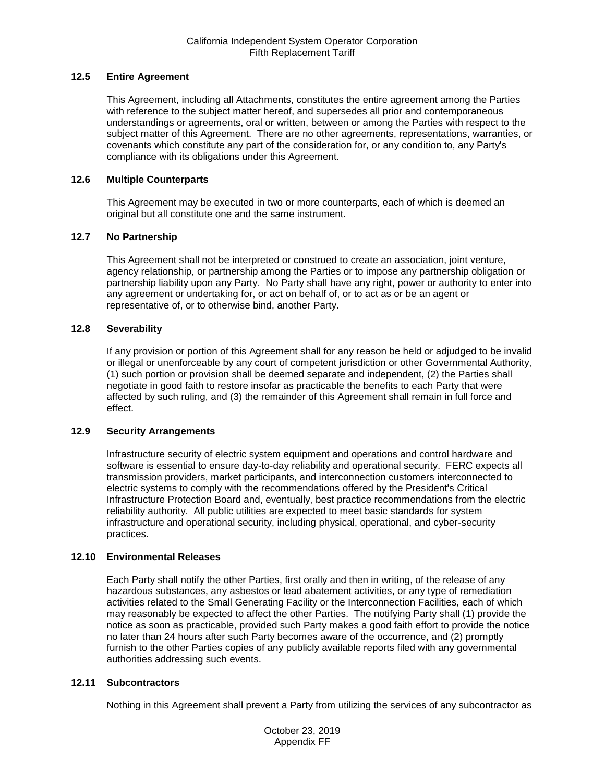### <span id="page-24-0"></span>**12.5 Entire Agreement**

This Agreement, including all Attachments, constitutes the entire agreement among the Parties with reference to the subject matter hereof, and supersedes all prior and contemporaneous understandings or agreements, oral or written, between or among the Parties with respect to the subject matter of this Agreement. There are no other agreements, representations, warranties, or covenants which constitute any part of the consideration for, or any condition to, any Party's compliance with its obligations under this Agreement.

# <span id="page-24-1"></span>**12.6 Multiple Counterparts**

This Agreement may be executed in two or more counterparts, each of which is deemed an original but all constitute one and the same instrument.

# <span id="page-24-2"></span>**12.7 No Partnership**

This Agreement shall not be interpreted or construed to create an association, joint venture, agency relationship, or partnership among the Parties or to impose any partnership obligation or partnership liability upon any Party. No Party shall have any right, power or authority to enter into any agreement or undertaking for, or act on behalf of, or to act as or be an agent or representative of, or to otherwise bind, another Party.

# <span id="page-24-3"></span>**12.8 Severability**

If any provision or portion of this Agreement shall for any reason be held or adjudged to be invalid or illegal or unenforceable by any court of competent jurisdiction or other Governmental Authority, (1) such portion or provision shall be deemed separate and independent, (2) the Parties shall negotiate in good faith to restore insofar as practicable the benefits to each Party that were affected by such ruling, and (3) the remainder of this Agreement shall remain in full force and effect.

#### <span id="page-24-4"></span>**12.9 Security Arrangements**

Infrastructure security of electric system equipment and operations and control hardware and software is essential to ensure day-to-day reliability and operational security. FERC expects all transmission providers, market participants, and interconnection customers interconnected to electric systems to comply with the recommendations offered by the President's Critical Infrastructure Protection Board and, eventually, best practice recommendations from the electric reliability authority. All public utilities are expected to meet basic standards for system infrastructure and operational security, including physical, operational, and cyber-security practices.

#### <span id="page-24-5"></span>**12.10 Environmental Releases**

Each Party shall notify the other Parties, first orally and then in writing, of the release of any hazardous substances, any asbestos or lead abatement activities, or any type of remediation activities related to the Small Generating Facility or the Interconnection Facilities, each of which may reasonably be expected to affect the other Parties. The notifying Party shall (1) provide the notice as soon as practicable, provided such Party makes a good faith effort to provide the notice no later than 24 hours after such Party becomes aware of the occurrence, and (2) promptly furnish to the other Parties copies of any publicly available reports filed with any governmental authorities addressing such events.

#### <span id="page-24-6"></span>**12.11 Subcontractors**

Nothing in this Agreement shall prevent a Party from utilizing the services of any subcontractor as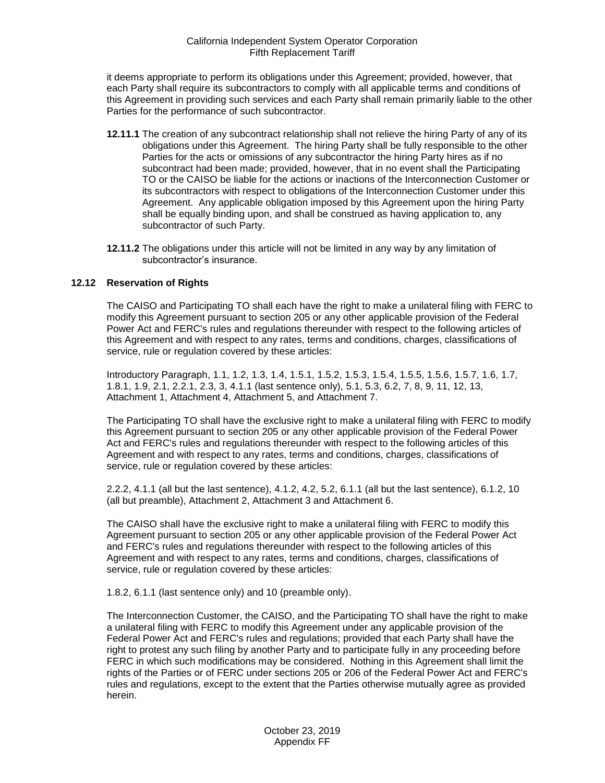it deems appropriate to perform its obligations under this Agreement; provided, however, that each Party shall require its subcontractors to comply with all applicable terms and conditions of this Agreement in providing such services and each Party shall remain primarily liable to the other Parties for the performance of such subcontractor.

- **12.11.1** The creation of any subcontract relationship shall not relieve the hiring Party of any of its obligations under this Agreement. The hiring Party shall be fully responsible to the other Parties for the acts or omissions of any subcontractor the hiring Party hires as if no subcontract had been made; provided, however, that in no event shall the Participating TO or the CAISO be liable for the actions or inactions of the Interconnection Customer or its subcontractors with respect to obligations of the Interconnection Customer under this Agreement. Any applicable obligation imposed by this Agreement upon the hiring Party shall be equally binding upon, and shall be construed as having application to, any subcontractor of such Party.
- **12.11.2** The obligations under this article will not be limited in any way by any limitation of subcontractor's insurance.

# <span id="page-25-0"></span>**12.12 Reservation of Rights**

The CAISO and Participating TO shall each have the right to make a unilateral filing with FERC to modify this Agreement pursuant to section 205 or any other applicable provision of the Federal Power Act and FERC's rules and regulations thereunder with respect to the following articles of this Agreement and with respect to any rates, terms and conditions, charges, classifications of service, rule or regulation covered by these articles:

Introductory Paragraph, 1.1, 1.2, 1.3, 1.4, 1.5.1, 1.5.2, 1.5.3, 1.5.4, 1.5.5, 1.5.6, 1.5.7, 1.6, 1.7, 1.8.1, 1.9, 2.1, 2.2.1, 2.3, 3, 4.1.1 (last sentence only), 5.1, 5.3, 6.2, 7, 8, 9, 11, 12, 13, Attachment 1, Attachment 4, Attachment 5, and Attachment 7.

The Participating TO shall have the exclusive right to make a unilateral filing with FERC to modify this Agreement pursuant to section 205 or any other applicable provision of the Federal Power Act and FERC's rules and regulations thereunder with respect to the following articles of this Agreement and with respect to any rates, terms and conditions, charges, classifications of service, rule or regulation covered by these articles:

2.2.2, 4.1.1 (all but the last sentence), 4.1.2, 4.2, 5.2, 6.1.1 (all but the last sentence), 6.1.2, 10 (all but preamble), Attachment 2, Attachment 3 and Attachment 6.

The CAISO shall have the exclusive right to make a unilateral filing with FERC to modify this Agreement pursuant to section 205 or any other applicable provision of the Federal Power Act and FERC's rules and regulations thereunder with respect to the following articles of this Agreement and with respect to any rates, terms and conditions, charges, classifications of service, rule or regulation covered by these articles:

1.8.2, 6.1.1 (last sentence only) and 10 (preamble only).

The Interconnection Customer, the CAISO, and the Participating TO shall have the right to make a unilateral filing with FERC to modify this Agreement under any applicable provision of the Federal Power Act and FERC's rules and regulations; provided that each Party shall have the right to protest any such filing by another Party and to participate fully in any proceeding before FERC in which such modifications may be considered. Nothing in this Agreement shall limit the rights of the Parties or of FERC under sections 205 or 206 of the Federal Power Act and FERC's rules and regulations, except to the extent that the Parties otherwise mutually agree as provided herein.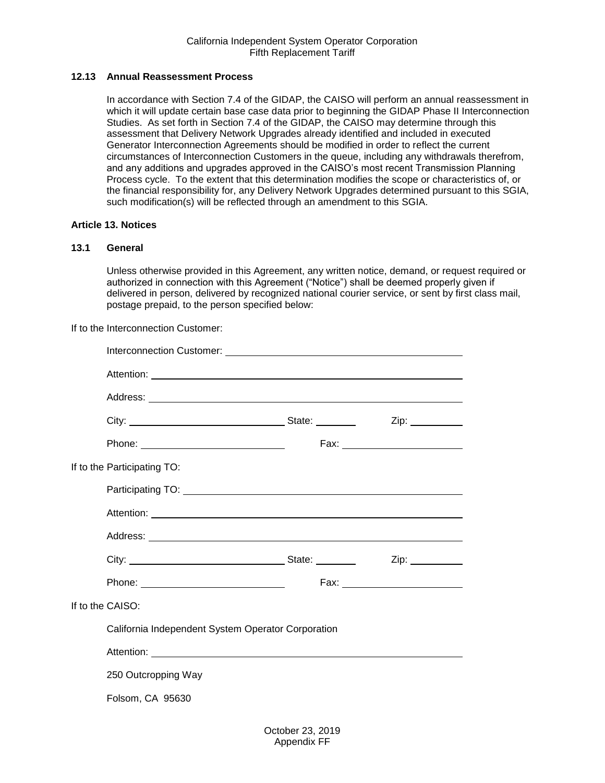# <span id="page-26-0"></span>**12.13 Annual Reassessment Process**

In accordance with Section 7.4 of the GIDAP, the CAISO will perform an annual reassessment in which it will update certain base case data prior to beginning the GIDAP Phase II Interconnection Studies. As set forth in Section 7.4 of the GIDAP, the CAISO may determine through this assessment that Delivery Network Upgrades already identified and included in executed Generator Interconnection Agreements should be modified in order to reflect the current circumstances of Interconnection Customers in the queue, including any withdrawals therefrom, and any additions and upgrades approved in the CAISO's most recent Transmission Planning Process cycle. To the extent that this determination modifies the scope or characteristics of, or the financial responsibility for, any Delivery Network Upgrades determined pursuant to this SGIA, such modification(s) will be reflected through an amendment to this SGIA.

### <span id="page-26-1"></span>**Article 13. Notices**

#### <span id="page-26-2"></span>**13.1 General**

Unless otherwise provided in this Agreement, any written notice, demand, or request required or authorized in connection with this Agreement ("Notice") shall be deemed properly given if delivered in person, delivered by recognized national courier service, or sent by first class mail, postage prepaid, to the person specified below:

If to the Interconnection Customer:

|                  | If to the Participating TO:                        |  |  |
|------------------|----------------------------------------------------|--|--|
|                  |                                                    |  |  |
|                  |                                                    |  |  |
|                  |                                                    |  |  |
|                  |                                                    |  |  |
|                  |                                                    |  |  |
| If to the CAISO: |                                                    |  |  |
|                  | California Independent System Operator Corporation |  |  |
|                  |                                                    |  |  |
|                  | 250 Outcropping Way                                |  |  |
|                  | Folsom, CA 95630                                   |  |  |
|                  |                                                    |  |  |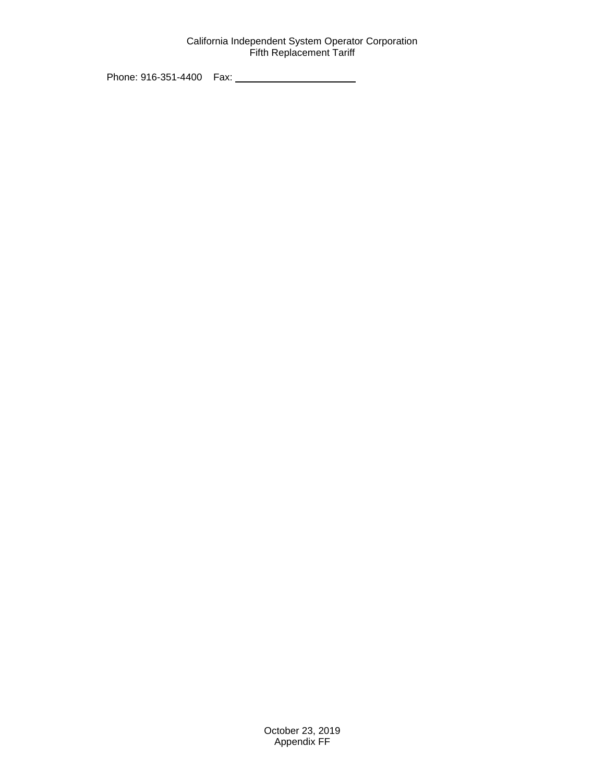Phone: 916-351-4400 Fax: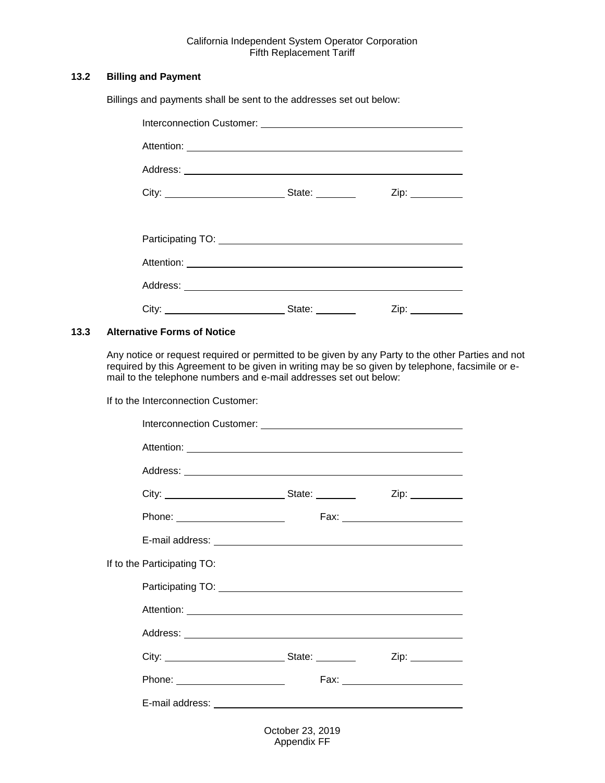# <span id="page-28-0"></span>**13.2 Billing and Payment**

Billings and payments shall be sent to the addresses set out below:

| State: ________                                                                                                                                                                                                                |      |
|--------------------------------------------------------------------------------------------------------------------------------------------------------------------------------------------------------------------------------|------|
|                                                                                                                                                                                                                                |      |
|                                                                                                                                                                                                                                |      |
|                                                                                                                                                                                                                                |      |
|                                                                                                                                                                                                                                |      |
| State: and the state of the state of the state of the state of the state of the state of the state of the state of the state of the state of the state of the state of the state of the state of the state of the state of the | Zip: |

## <span id="page-28-1"></span>**13.3 Alternative Forms of Notice**

Any notice or request required or permitted to be given by any Party to the other Parties and not required by this Agreement to be given in writing may be so given by telephone, facsimile or email to the telephone numbers and e-mail addresses set out below:

If to the Interconnection Customer:

|                                   | Fax: __________________________ |
|-----------------------------------|---------------------------------|
|                                   |                                 |
| If to the Participating TO:       |                                 |
|                                   |                                 |
|                                   |                                 |
|                                   |                                 |
|                                   |                                 |
| Phone: __________________________ |                                 |
|                                   |                                 |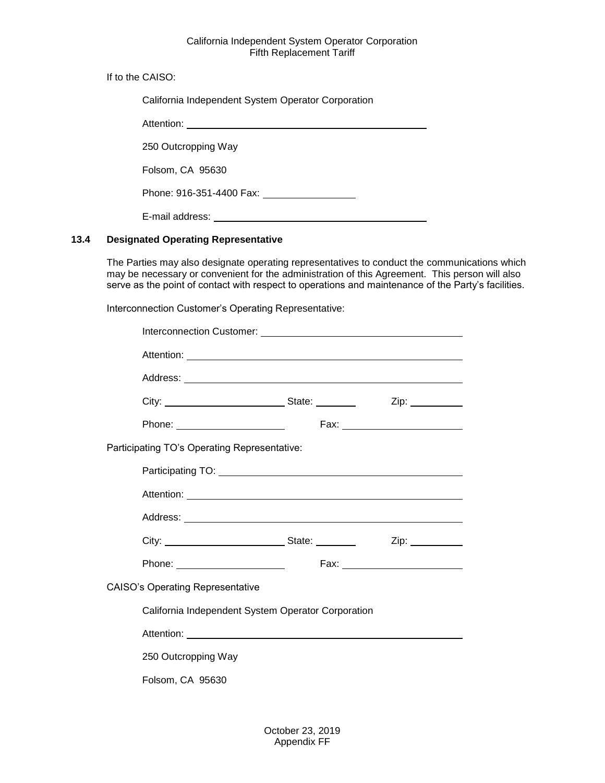If to the CAISO:

| California Independent System Operator Corporation |  |
|----------------------------------------------------|--|
| Attention:                                         |  |
| 250 Outcropping Way                                |  |
| Folsom, CA 95630                                   |  |
| Phone: 916-351-4400 Fax:                           |  |
| E-mail address:                                    |  |

# <span id="page-29-0"></span>**13.4 Designated Operating Representative**

The Parties may also designate operating representatives to conduct the communications which may be necessary or convenient for the administration of this Agreement. This person will also serve as the point of contact with respect to operations and maintenance of the Party's facilities.

Interconnection Customer's Operating Representative:

| Interconnection Customer: Network and Constanting the Constanting of the Constanting of the Constanting of the |  |  |                 |
|----------------------------------------------------------------------------------------------------------------|--|--|-----------------|
|                                                                                                                |  |  |                 |
|                                                                                                                |  |  |                 |
|                                                                                                                |  |  |                 |
|                                                                                                                |  |  |                 |
| Participating TO's Operating Representative:                                                                   |  |  |                 |
|                                                                                                                |  |  |                 |
|                                                                                                                |  |  |                 |
|                                                                                                                |  |  |                 |
|                                                                                                                |  |  | Zip: __________ |
|                                                                                                                |  |  |                 |
| <b>CAISO's Operating Representative</b>                                                                        |  |  |                 |
| California Independent System Operator Corporation                                                             |  |  |                 |
|                                                                                                                |  |  |                 |
| 250 Outcropping Way                                                                                            |  |  |                 |
| Folsom, CA 95630                                                                                               |  |  |                 |
|                                                                                                                |  |  |                 |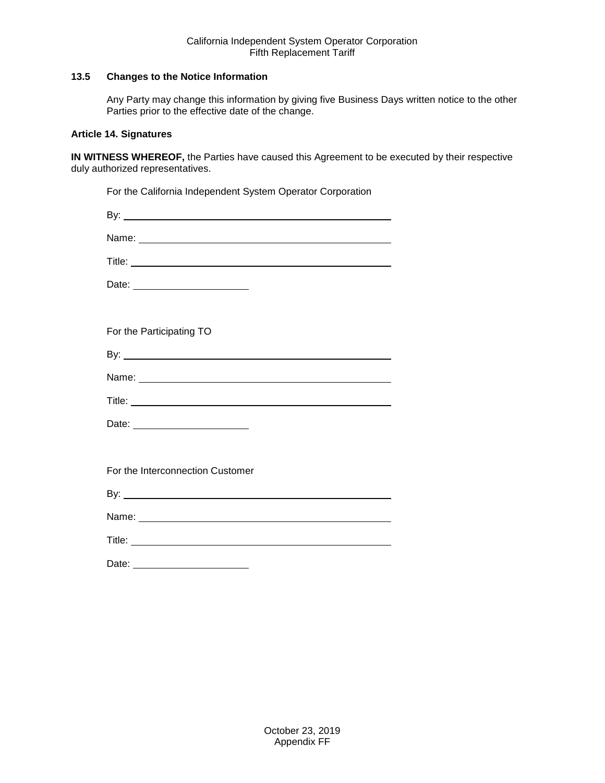# <span id="page-30-0"></span>**13.5 Changes to the Notice Information**

Any Party may change this information by giving five Business Days written notice to the other Parties prior to the effective date of the change.

#### <span id="page-30-1"></span>**Article 14. Signatures**

**IN WITNESS WHEREOF,** the Parties have caused this Agreement to be executed by their respective duly authorized representatives.

| For the California Independent System Operator Corporation                                                                                                                                                                           |
|--------------------------------------------------------------------------------------------------------------------------------------------------------------------------------------------------------------------------------------|
|                                                                                                                                                                                                                                      |
|                                                                                                                                                                                                                                      |
|                                                                                                                                                                                                                                      |
| Date: _________________________                                                                                                                                                                                                      |
|                                                                                                                                                                                                                                      |
| For the Participating TO                                                                                                                                                                                                             |
|                                                                                                                                                                                                                                      |
|                                                                                                                                                                                                                                      |
|                                                                                                                                                                                                                                      |
| Date: __________________________                                                                                                                                                                                                     |
|                                                                                                                                                                                                                                      |
| For the Interconnection Customer                                                                                                                                                                                                     |
|                                                                                                                                                                                                                                      |
|                                                                                                                                                                                                                                      |
| Title: <u>Contract of the Contract of the Contract of the Contract of the Contract of the Contract of the Contract of the Contract of the Contract of the Contract of the Contract of the Contract of the Contract of the Contra</u> |
|                                                                                                                                                                                                                                      |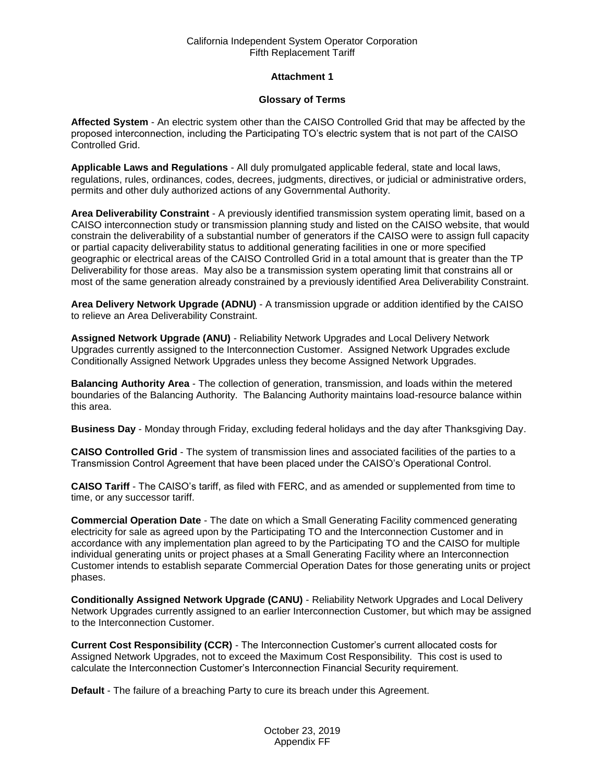# **Attachment 1**

# **Glossary of Terms**

**Affected System** - An electric system other than the CAISO Controlled Grid that may be affected by the proposed interconnection, including the Participating TO's electric system that is not part of the CAISO Controlled Grid.

**Applicable Laws and Regulations** - All duly promulgated applicable federal, state and local laws, regulations, rules, ordinances, codes, decrees, judgments, directives, or judicial or administrative orders, permits and other duly authorized actions of any Governmental Authority.

**Area Deliverability Constraint** - A previously identified transmission system operating limit, based on a CAISO interconnection study or transmission planning study and listed on the CAISO website, that would constrain the deliverability of a substantial number of generators if the CAISO were to assign full capacity or partial capacity deliverability status to additional generating facilities in one or more specified geographic or electrical areas of the CAISO Controlled Grid in a total amount that is greater than the TP Deliverability for those areas. May also be a transmission system operating limit that constrains all or most of the same generation already constrained by a previously identified Area Deliverability Constraint.

**Area Delivery Network Upgrade (ADNU)** - A transmission upgrade or addition identified by the CAISO to relieve an Area Deliverability Constraint.

**Assigned Network Upgrade (ANU)** - Reliability Network Upgrades and Local Delivery Network Upgrades currently assigned to the Interconnection Customer. Assigned Network Upgrades exclude Conditionally Assigned Network Upgrades unless they become Assigned Network Upgrades.

**Balancing Authority Area** - The collection of generation, transmission, and loads within the metered boundaries of the Balancing Authority. The Balancing Authority maintains load-resource balance within this area.

**Business Day** - Monday through Friday, excluding federal holidays and the day after Thanksgiving Day.

**CAISO Controlled Grid** - The system of transmission lines and associated facilities of the parties to a Transmission Control Agreement that have been placed under the CAISO's Operational Control.

**CAISO Tariff** - The CAISO's tariff, as filed with FERC, and as amended or supplemented from time to time, or any successor tariff.

**Commercial Operation Date** - The date on which a Small Generating Facility commenced generating electricity for sale as agreed upon by the Participating TO and the Interconnection Customer and in accordance with any implementation plan agreed to by the Participating TO and the CAISO for multiple individual generating units or project phases at a Small Generating Facility where an Interconnection Customer intends to establish separate Commercial Operation Dates for those generating units or project phases.

**Conditionally Assigned Network Upgrade (CANU)** - Reliability Network Upgrades and Local Delivery Network Upgrades currently assigned to an earlier Interconnection Customer, but which may be assigned to the Interconnection Customer.

**Current Cost Responsibility (CCR)** - The Interconnection Customer's current allocated costs for Assigned Network Upgrades, not to exceed the Maximum Cost Responsibility. This cost is used to calculate the Interconnection Customer's Interconnection Financial Security requirement.

**Default** - The failure of a breaching Party to cure its breach under this Agreement.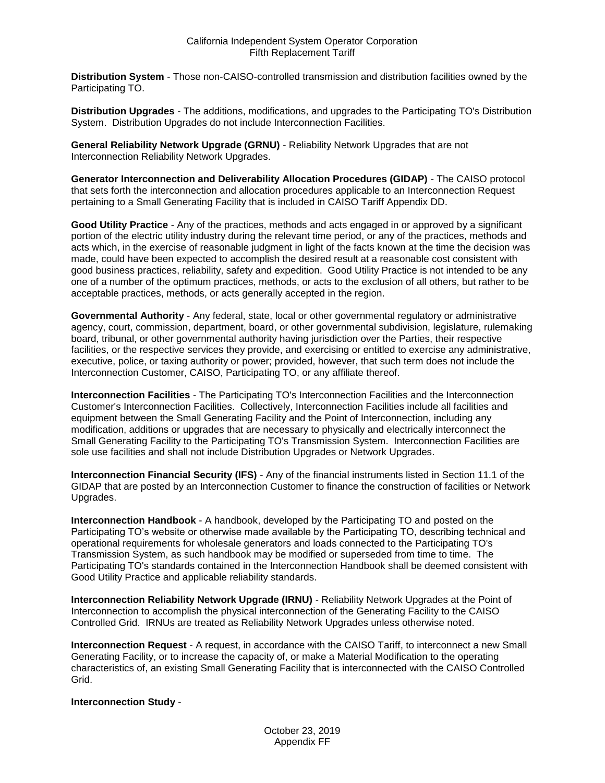**Distribution System** - Those non-CAISO-controlled transmission and distribution facilities owned by the Participating TO.

**Distribution Upgrades** - The additions, modifications, and upgrades to the Participating TO's Distribution System. Distribution Upgrades do not include Interconnection Facilities.

**General Reliability Network Upgrade (GRNU)** - Reliability Network Upgrades that are not Interconnection Reliability Network Upgrades.

**Generator Interconnection and Deliverability Allocation Procedures (GIDAP)** - The CAISO protocol that sets forth the interconnection and allocation procedures applicable to an Interconnection Request pertaining to a Small Generating Facility that is included in CAISO Tariff Appendix DD.

**Good Utility Practice** - Any of the practices, methods and acts engaged in or approved by a significant portion of the electric utility industry during the relevant time period, or any of the practices, methods and acts which, in the exercise of reasonable judgment in light of the facts known at the time the decision was made, could have been expected to accomplish the desired result at a reasonable cost consistent with good business practices, reliability, safety and expedition. Good Utility Practice is not intended to be any one of a number of the optimum practices, methods, or acts to the exclusion of all others, but rather to be acceptable practices, methods, or acts generally accepted in the region.

**Governmental Authority** - Any federal, state, local or other governmental regulatory or administrative agency, court, commission, department, board, or other governmental subdivision, legislature, rulemaking board, tribunal, or other governmental authority having jurisdiction over the Parties, their respective facilities, or the respective services they provide, and exercising or entitled to exercise any administrative, executive, police, or taxing authority or power; provided, however, that such term does not include the Interconnection Customer, CAISO, Participating TO, or any affiliate thereof.

**Interconnection Facilities** - The Participating TO's Interconnection Facilities and the Interconnection Customer's Interconnection Facilities. Collectively, Interconnection Facilities include all facilities and equipment between the Small Generating Facility and the Point of Interconnection, including any modification, additions or upgrades that are necessary to physically and electrically interconnect the Small Generating Facility to the Participating TO's Transmission System. Interconnection Facilities are sole use facilities and shall not include Distribution Upgrades or Network Upgrades.

**Interconnection Financial Security (IFS)** - Any of the financial instruments listed in Section 11.1 of the GIDAP that are posted by an Interconnection Customer to finance the construction of facilities or Network Upgrades.

**Interconnection Handbook** - A handbook, developed by the Participating TO and posted on the Participating TO's website or otherwise made available by the Participating TO, describing technical and operational requirements for wholesale generators and loads connected to the Participating TO's Transmission System, as such handbook may be modified or superseded from time to time. The Participating TO's standards contained in the Interconnection Handbook shall be deemed consistent with Good Utility Practice and applicable reliability standards.

**Interconnection Reliability Network Upgrade (IRNU)** - Reliability Network Upgrades at the Point of Interconnection to accomplish the physical interconnection of the Generating Facility to the CAISO Controlled Grid. IRNUs are treated as Reliability Network Upgrades unless otherwise noted.

**Interconnection Request** - A request, in accordance with the CAISO Tariff, to interconnect a new Small Generating Facility, or to increase the capacity of, or make a Material Modification to the operating characteristics of, an existing Small Generating Facility that is interconnected with the CAISO Controlled Grid.

# **Interconnection Study** -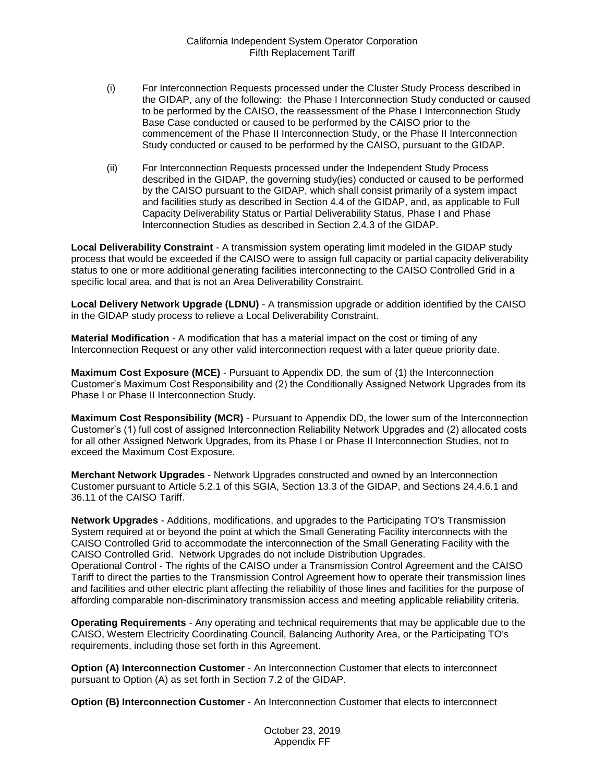- (i) For Interconnection Requests processed under the Cluster Study Process described in the GIDAP, any of the following: the Phase I Interconnection Study conducted or caused to be performed by the CAISO, the reassessment of the Phase I Interconnection Study Base Case conducted or caused to be performed by the CAISO prior to the commencement of the Phase II Interconnection Study, or the Phase II Interconnection Study conducted or caused to be performed by the CAISO, pursuant to the GIDAP.
- (ii) For Interconnection Requests processed under the Independent Study Process described in the GIDAP, the governing study(ies) conducted or caused to be performed by the CAISO pursuant to the GIDAP, which shall consist primarily of a system impact and facilities study as described in Section 4.4 of the GIDAP, and, as applicable to Full Capacity Deliverability Status or Partial Deliverability Status, Phase I and Phase Interconnection Studies as described in Section 2.4.3 of the GIDAP.

**Local Deliverability Constraint** - A transmission system operating limit modeled in the GIDAP study process that would be exceeded if the CAISO were to assign full capacity or partial capacity deliverability status to one or more additional generating facilities interconnecting to the CAISO Controlled Grid in a specific local area, and that is not an Area Deliverability Constraint.

**Local Delivery Network Upgrade (LDNU)** - A transmission upgrade or addition identified by the CAISO in the GIDAP study process to relieve a Local Deliverability Constraint.

**Material Modification** - A modification that has a material impact on the cost or timing of any Interconnection Request or any other valid interconnection request with a later queue priority date.

**Maximum Cost Exposure (MCE)** - Pursuant to Appendix DD, the sum of (1) the Interconnection Customer's Maximum Cost Responsibility and (2) the Conditionally Assigned Network Upgrades from its Phase I or Phase II Interconnection Study.

**Maximum Cost Responsibility (MCR)** - Pursuant to Appendix DD, the lower sum of the Interconnection Customer's (1) full cost of assigned Interconnection Reliability Network Upgrades and (2) allocated costs for all other Assigned Network Upgrades, from its Phase I or Phase II Interconnection Studies, not to exceed the Maximum Cost Exposure.

**Merchant Network Upgrades** - Network Upgrades constructed and owned by an Interconnection Customer pursuant to Article 5.2.1 of this SGIA, Section 13.3 of the GIDAP, and Sections 24.4.6.1 and 36.11 of the CAISO Tariff.

**Network Upgrades** - Additions, modifications, and upgrades to the Participating TO's Transmission System required at or beyond the point at which the Small Generating Facility interconnects with the CAISO Controlled Grid to accommodate the interconnection of the Small Generating Facility with the CAISO Controlled Grid. Network Upgrades do not include Distribution Upgrades. Operational Control - The rights of the CAISO under a Transmission Control Agreement and the CAISO Tariff to direct the parties to the Transmission Control Agreement how to operate their transmission lines and facilities and other electric plant affecting the reliability of those lines and facilities for the purpose of affording comparable non-discriminatory transmission access and meeting applicable reliability criteria.

**Operating Requirements** - Any operating and technical requirements that may be applicable due to the CAISO, Western Electricity Coordinating Council, Balancing Authority Area, or the Participating TO's requirements, including those set forth in this Agreement.

**Option (A) Interconnection Customer** - An Interconnection Customer that elects to interconnect pursuant to Option (A) as set forth in Section 7.2 of the GIDAP.

**Option (B) Interconnection Customer** - An Interconnection Customer that elects to interconnect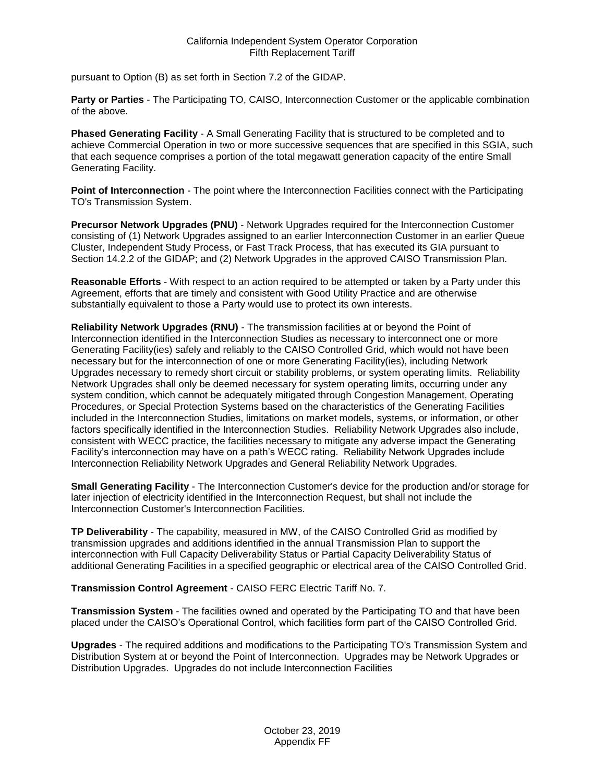pursuant to Option (B) as set forth in Section 7.2 of the GIDAP.

**Party or Parties** - The Participating TO, CAISO, Interconnection Customer or the applicable combination of the above.

**Phased Generating Facility** - A Small Generating Facility that is structured to be completed and to achieve Commercial Operation in two or more successive sequences that are specified in this SGIA, such that each sequence comprises a portion of the total megawatt generation capacity of the entire Small Generating Facility.

**Point of Interconnection** - The point where the Interconnection Facilities connect with the Participating TO's Transmission System.

**Precursor Network Upgrades (PNU)** - Network Upgrades required for the Interconnection Customer consisting of (1) Network Upgrades assigned to an earlier Interconnection Customer in an earlier Queue Cluster, Independent Study Process, or Fast Track Process, that has executed its GIA pursuant to Section 14.2.2 of the GIDAP; and (2) Network Upgrades in the approved CAISO Transmission Plan.

**Reasonable Efforts** - With respect to an action required to be attempted or taken by a Party under this Agreement, efforts that are timely and consistent with Good Utility Practice and are otherwise substantially equivalent to those a Party would use to protect its own interests.

**Reliability Network Upgrades (RNU)** - The transmission facilities at or beyond the Point of Interconnection identified in the Interconnection Studies as necessary to interconnect one or more Generating Facility(ies) safely and reliably to the CAISO Controlled Grid, which would not have been necessary but for the interconnection of one or more Generating Facility(ies), including Network Upgrades necessary to remedy short circuit or stability problems, or system operating limits. Reliability Network Upgrades shall only be deemed necessary for system operating limits, occurring under any system condition, which cannot be adequately mitigated through Congestion Management, Operating Procedures, or Special Protection Systems based on the characteristics of the Generating Facilities included in the Interconnection Studies, limitations on market models, systems, or information, or other factors specifically identified in the Interconnection Studies. Reliability Network Upgrades also include, consistent with WECC practice, the facilities necessary to mitigate any adverse impact the Generating Facility's interconnection may have on a path's WECC rating. Reliability Network Upgrades include Interconnection Reliability Network Upgrades and General Reliability Network Upgrades.

**Small Generating Facility** - The Interconnection Customer's device for the production and/or storage for later injection of electricity identified in the Interconnection Request, but shall not include the Interconnection Customer's Interconnection Facilities.

**TP Deliverability** - The capability, measured in MW, of the CAISO Controlled Grid as modified by transmission upgrades and additions identified in the annual Transmission Plan to support the interconnection with Full Capacity Deliverability Status or Partial Capacity Deliverability Status of additional Generating Facilities in a specified geographic or electrical area of the CAISO Controlled Grid.

**Transmission Control Agreement** - CAISO FERC Electric Tariff No. 7.

**Transmission System** - The facilities owned and operated by the Participating TO and that have been placed under the CAISO's Operational Control, which facilities form part of the CAISO Controlled Grid.

**Upgrades** - The required additions and modifications to the Participating TO's Transmission System and Distribution System at or beyond the Point of Interconnection. Upgrades may be Network Upgrades or Distribution Upgrades. Upgrades do not include Interconnection Facilities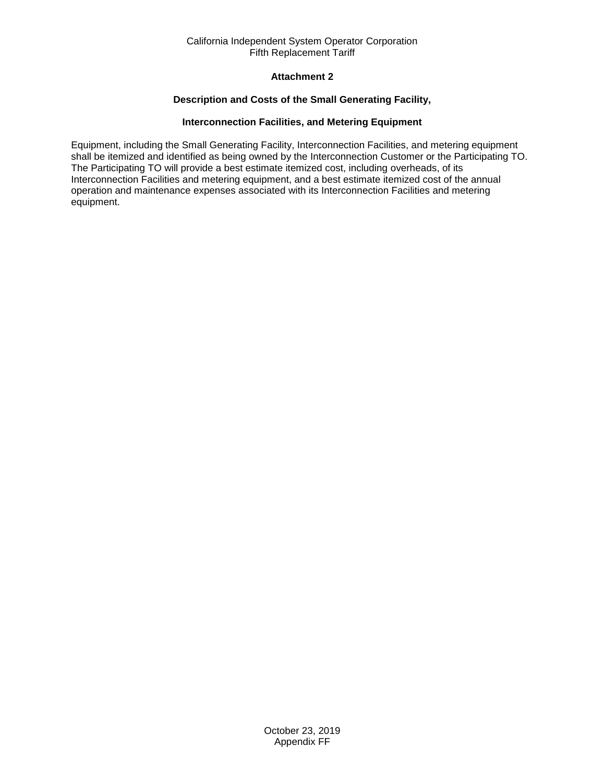# **Attachment 2**

# **Description and Costs of the Small Generating Facility,**

# **Interconnection Facilities, and Metering Equipment**

<span id="page-35-0"></span>Equipment, including the Small Generating Facility, Interconnection Facilities, and metering equipment shall be itemized and identified as being owned by the Interconnection Customer or the Participating TO. The Participating TO will provide a best estimate itemized cost, including overheads, of its Interconnection Facilities and metering equipment, and a best estimate itemized cost of the annual operation and maintenance expenses associated with its Interconnection Facilities and metering equipment.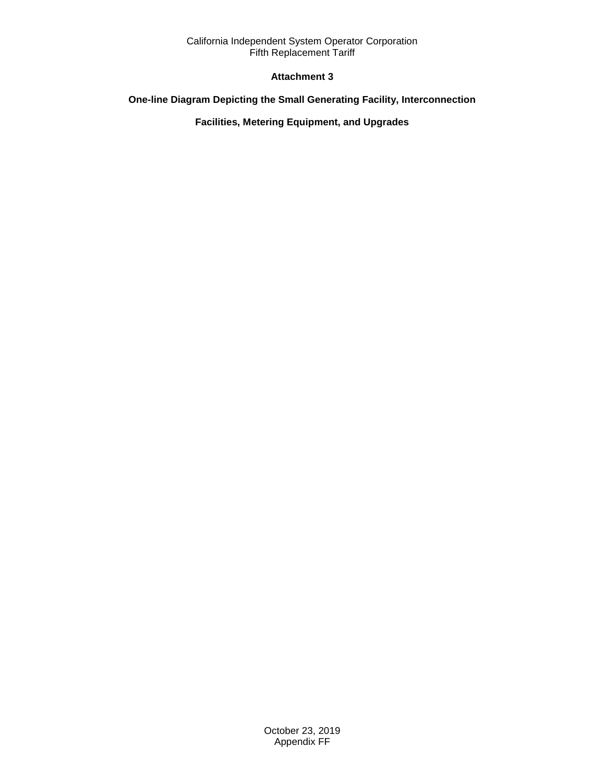# **Attachment 3**

# <span id="page-36-0"></span>**One-line Diagram Depicting the Small Generating Facility, Interconnection**

# **Facilities, Metering Equipment, and Upgrades**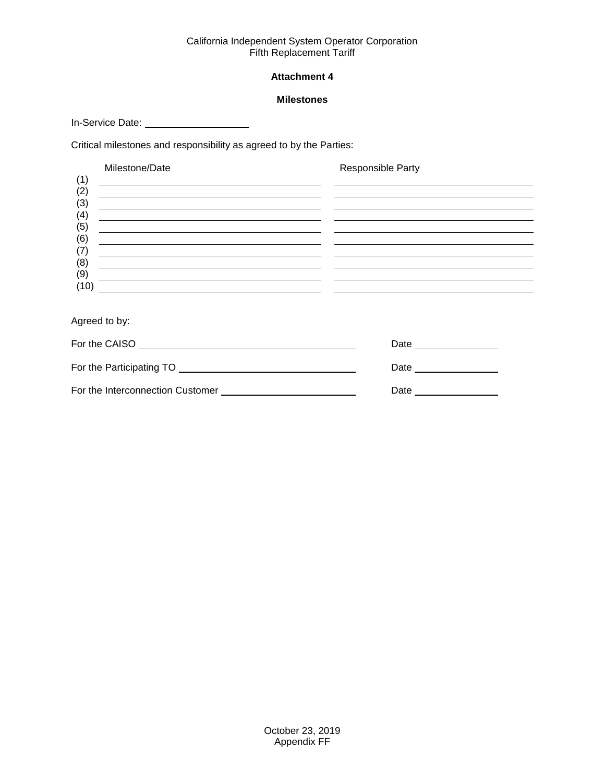# **Attachment 4**

#### **Milestones**

<span id="page-37-0"></span>In-Service Date: \_\_\_\_\_\_\_\_\_\_\_\_\_\_\_\_\_\_\_\_\_\_\_\_

Critical milestones and responsibility as agreed to by the Parties:

|            | Milestone/Date                                                   |                                                                                                                     | Responsible Party |
|------------|------------------------------------------------------------------|---------------------------------------------------------------------------------------------------------------------|-------------------|
| (1)        | <u> 1989 - Johann John Stone, Amerikaansk politiker († 1908)</u> |                                                                                                                     |                   |
| (2)<br>(3) |                                                                  |                                                                                                                     |                   |
| (4)        | <u> 1989 - Johann Barn, amerikansk politiker (d. 1989)</u>       |                                                                                                                     |                   |
| (5)        |                                                                  | <u> 1989 - Andrea San Andrea San Andrea San Andrea San Andrea San Andrea San Andrea San Andrea San Andrea San A</u> |                   |
| (6)        |                                                                  |                                                                                                                     |                   |
| (7)        |                                                                  |                                                                                                                     |                   |
| (8)<br>(9) |                                                                  |                                                                                                                     |                   |
| (10)       |                                                                  |                                                                                                                     |                   |
|            |                                                                  |                                                                                                                     |                   |
|            |                                                                  |                                                                                                                     |                   |

Agreed to by:

| For the CAISO                    | Date |
|----------------------------------|------|
| For the Participating TO         | Date |
| For the Interconnection Customer | Date |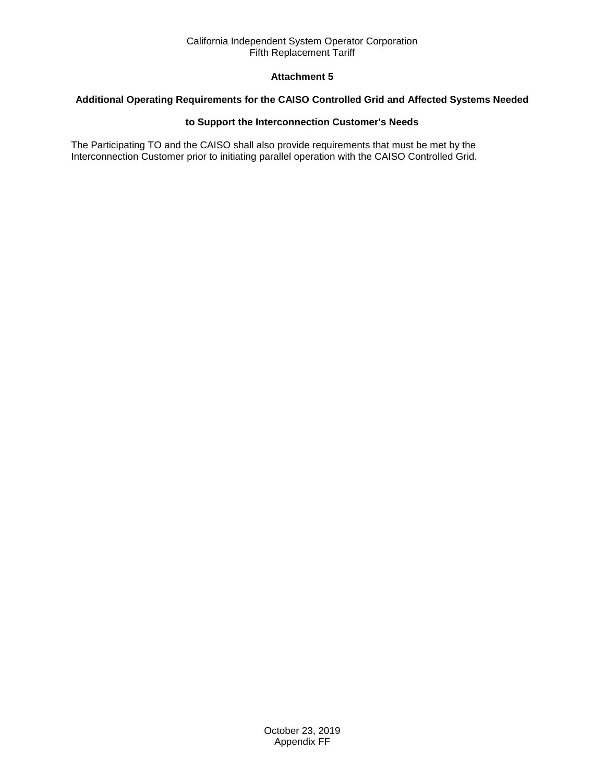# **Attachment 5**

## <span id="page-38-0"></span>**Additional Operating Requirements for the CAISO Controlled Grid and Affected Systems Needed**

# **to Support the Interconnection Customer's Needs**

The Participating TO and the CAISO shall also provide requirements that must be met by the Interconnection Customer prior to initiating parallel operation with the CAISO Controlled Grid.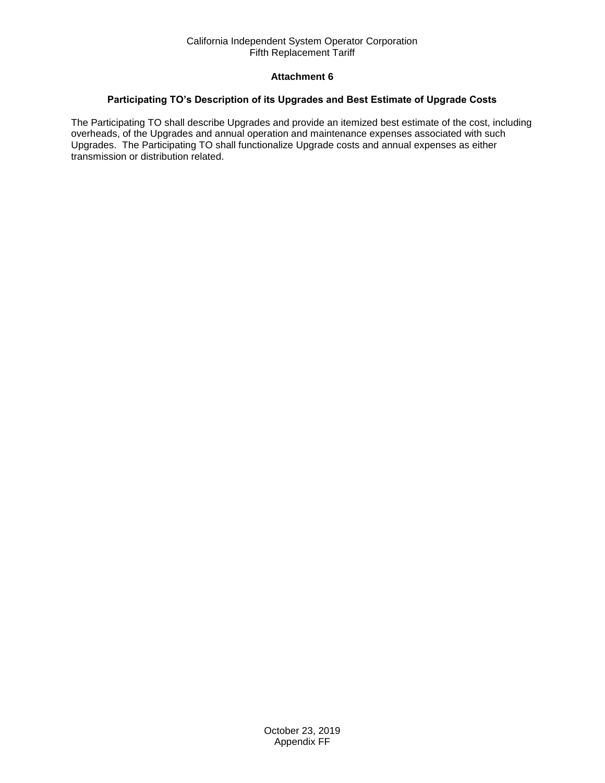# **Attachment 6**

# <span id="page-39-0"></span>**Participating TO's Description of its Upgrades and Best Estimate of Upgrade Costs**

The Participating TO shall describe Upgrades and provide an itemized best estimate of the cost, including overheads, of the Upgrades and annual operation and maintenance expenses associated with such Upgrades. The Participating TO shall functionalize Upgrade costs and annual expenses as either transmission or distribution related.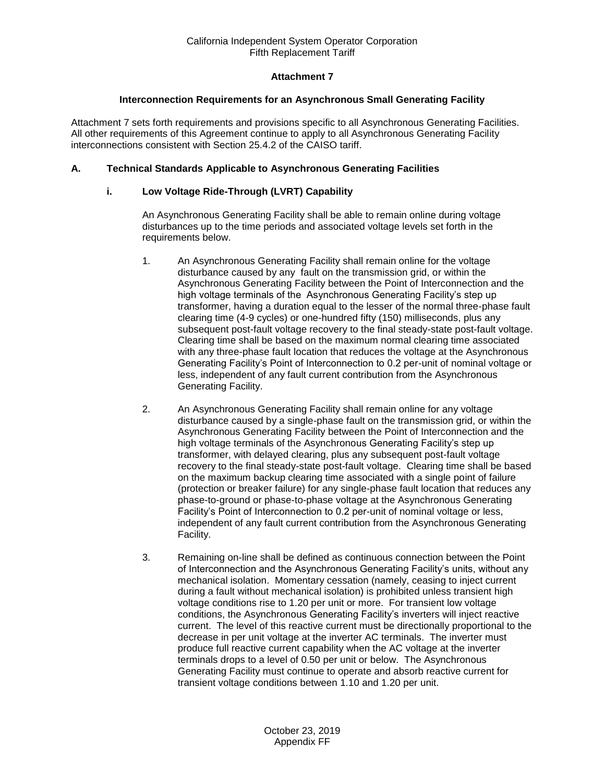# **Attachment 7**

### **Interconnection Requirements for an Asynchronous Small Generating Facility**

<span id="page-40-0"></span>Attachment 7 sets forth requirements and provisions specific to all Asynchronous Generating Facilities. All other requirements of this Agreement continue to apply to all Asynchronous Generating Facility interconnections consistent with Section 25.4.2 of the CAISO tariff.

# **A. Technical Standards Applicable to Asynchronous Generating Facilities**

# **i. Low Voltage Ride-Through (LVRT) Capability**

An Asynchronous Generating Facility shall be able to remain online during voltage disturbances up to the time periods and associated voltage levels set forth in the requirements below.

- 1. An Asynchronous Generating Facility shall remain online for the voltage disturbance caused by any fault on the transmission grid, or within the Asynchronous Generating Facility between the Point of Interconnection and the high voltage terminals of the Asynchronous Generating Facility's step up transformer, having a duration equal to the lesser of the normal three-phase fault clearing time (4-9 cycles) or one-hundred fifty (150) milliseconds, plus any subsequent post-fault voltage recovery to the final steady-state post-fault voltage. Clearing time shall be based on the maximum normal clearing time associated with any three-phase fault location that reduces the voltage at the Asynchronous Generating Facility's Point of Interconnection to 0.2 per-unit of nominal voltage or less, independent of any fault current contribution from the Asynchronous Generating Facility.
- 2. An Asynchronous Generating Facility shall remain online for any voltage disturbance caused by a single-phase fault on the transmission grid, or within the Asynchronous Generating Facility between the Point of Interconnection and the high voltage terminals of the Asynchronous Generating Facility's step up transformer, with delayed clearing, plus any subsequent post-fault voltage recovery to the final steady-state post-fault voltage. Clearing time shall be based on the maximum backup clearing time associated with a single point of failure (protection or breaker failure) for any single-phase fault location that reduces any phase-to-ground or phase-to-phase voltage at the Asynchronous Generating Facility's Point of Interconnection to 0.2 per-unit of nominal voltage or less, independent of any fault current contribution from the Asynchronous Generating Facility.
- 3. Remaining on-line shall be defined as continuous connection between the Point of Interconnection and the Asynchronous Generating Facility's units, without any mechanical isolation. Momentary cessation (namely, ceasing to inject current during a fault without mechanical isolation) is prohibited unless transient high voltage conditions rise to 1.20 per unit or more. For transient low voltage conditions, the Asynchronous Generating Facility's inverters will inject reactive current. The level of this reactive current must be directionally proportional to the decrease in per unit voltage at the inverter AC terminals. The inverter must produce full reactive current capability when the AC voltage at the inverter terminals drops to a level of 0.50 per unit or below. The Asynchronous Generating Facility must continue to operate and absorb reactive current for transient voltage conditions between 1.10 and 1.20 per unit.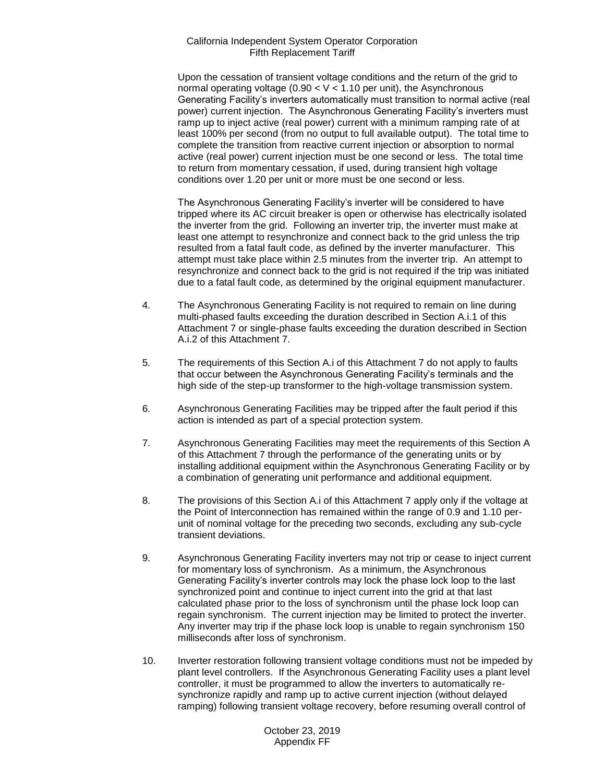Upon the cessation of transient voltage conditions and the return of the grid to normal operating voltage (0.90  $<$  V  $<$  1.10 per unit), the Asynchronous Generating Facility's inverters automatically must transition to normal active (real power) current injection. The Asynchronous Generating Facility's inverters must ramp up to inject active (real power) current with a minimum ramping rate of at least 100% per second (from no output to full available output). The total time to complete the transition from reactive current injection or absorption to normal active (real power) current injection must be one second or less. The total time to return from momentary cessation, if used, during transient high voltage conditions over 1.20 per unit or more must be one second or less.

The Asynchronous Generating Facility's inverter will be considered to have tripped where its AC circuit breaker is open or otherwise has electrically isolated the inverter from the grid. Following an inverter trip, the inverter must make at least one attempt to resynchronize and connect back to the grid unless the trip resulted from a fatal fault code, as defined by the inverter manufacturer. This attempt must take place within 2.5 minutes from the inverter trip. An attempt to resynchronize and connect back to the grid is not required if the trip was initiated due to a fatal fault code, as determined by the original equipment manufacturer.

- 4. The Asynchronous Generating Facility is not required to remain on line during multi-phased faults exceeding the duration described in Section A.i.1 of this Attachment 7 or single-phase faults exceeding the duration described in Section A.i.2 of this Attachment 7.
- 5. The requirements of this Section A.i of this Attachment 7 do not apply to faults that occur between the Asynchronous Generating Facility's terminals and the high side of the step-up transformer to the high-voltage transmission system.
- 6. Asynchronous Generating Facilities may be tripped after the fault period if this action is intended as part of a special protection system.
- 7. Asynchronous Generating Facilities may meet the requirements of this Section A of this Attachment 7 through the performance of the generating units or by installing additional equipment within the Asynchronous Generating Facility or by a combination of generating unit performance and additional equipment.
- 8. The provisions of this Section A.i of this Attachment 7 apply only if the voltage at the Point of Interconnection has remained within the range of 0.9 and 1.10 perunit of nominal voltage for the preceding two seconds, excluding any sub-cycle transient deviations.
- 9. Asynchronous Generating Facility inverters may not trip or cease to inject current for momentary loss of synchronism. As a minimum, the Asynchronous Generating Facility's inverter controls may lock the phase lock loop to the last synchronized point and continue to inject current into the grid at that last calculated phase prior to the loss of synchronism until the phase lock loop can regain synchronism. The current injection may be limited to protect the inverter. Any inverter may trip if the phase lock loop is unable to regain synchronism 150 milliseconds after loss of synchronism.
- 10. Inverter restoration following transient voltage conditions must not be impeded by plant level controllers. If the Asynchronous Generating Facility uses a plant level controller, it must be programmed to allow the inverters to automatically resynchronize rapidly and ramp up to active current injection (without delayed ramping) following transient voltage recovery, before resuming overall control of